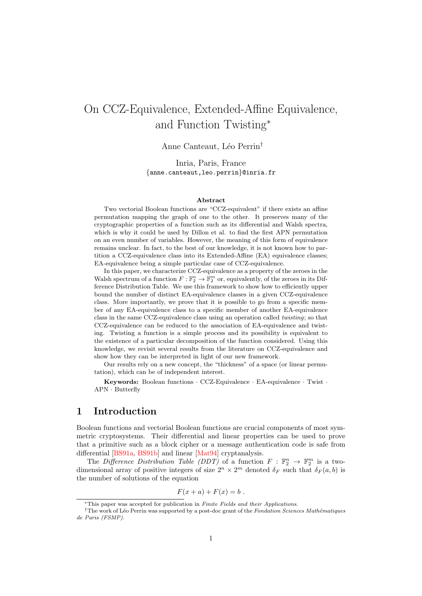# On CCZ-Equivalence, Extended-Affine Equivalence, and Function Twisting\*

Anne Canteaut, Léo Perrin<sup>†</sup>

Inria, Paris, France {anne.canteaut,leo.perrin}@inria.fr

#### Abstract

Two vectorial Boolean functions are "CCZ-equivalent" if there exists an affine permutation mapping the graph of one to the other. It preserves many of the cryptographic properties of a function such as its differential and Walsh spectra, which is why it could be used by Dillon et al. to find the first APN permutation on an even number of variables. However, the meaning of this form of equivalence remains unclear. In fact, to the best of our knowledge, it is not known how to partition a CCZ-equivalence class into its Extended-Affine (EA) equivalence classes; EA-equivalence being a simple particular case of CCZ-equivalence.

In this paper, we characterize CCZ-equivalence as a property of the zeroes in the Walsh spectrum of a function  $F : \mathbb{F}_2^n \to \mathbb{F}_2^m$  or, equivalently, of the zeroes in its Difference Distribution Table. We use this framework to show how to efficiently upper bound the number of distinct EA-equivalence classes in a given CCZ-equivalence class. More importantly, we prove that it is possible to go from a specific member of any EA-equivalence class to a specific member of another EA-equivalence class in the same CCZ-equivalence class using an operation called twisting; so that CCZ-equivalence can be reduced to the association of EA-equivalence and twisting. Twisting a function is a simple process and its possibility is equivalent to the existence of a particular decomposition of the function considered. Using this knowledge, we revisit several results from the literature on CCZ-equivalence and show how they can be interpreted in light of our new framework.

Our results rely on a new concept, the "thickness" of a space (or linear permutation), which can be of independent interest.

Keywords: Boolean functions · CCZ-Equivalence · EA-equivalence · Twist · APN · Butterfly

# 1 Introduction

Boolean functions and vectorial Boolean functions are crucial components of most symmetric cryptosystems. Their differential and linear properties can be used to prove that a primitive such as a block cipher or a message authentication code is safe from differential [\[BS91a,](#page-28-0) [BS91b\]](#page-28-1) and linear [\[Mat94\]](#page-29-0) cryptanalysis.

The Difference Distribution Table (DDT) of a function  $F : \mathbb{F}_2^n \to \mathbb{F}_2^m$  is a twodimensional array of positive integers of size  $2^n \times 2^m$  denoted  $\delta_F$  such that  $\delta_F(a, b)$  is the number of solutions of the equation

$$
F(x+a) + F(x) = b.
$$

<sup>\*</sup>This paper was accepted for publication in Finite Fields and their Applications.

<sup>&</sup>lt;sup>†</sup>The work of Léo Perrin was supported by a post-doc grant of the Fondation Sciences Mathématiques de Paris (FSMP).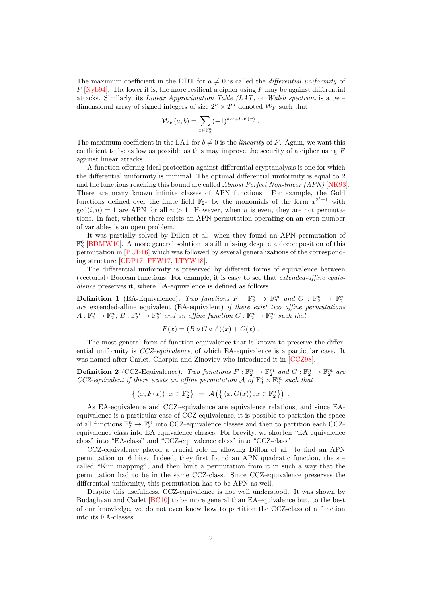The maximum coefficient in the DDT for  $a \neq 0$  is called the *differential uniformity* of  $F$  [\[Nyb94\]](#page-29-1). The lower it is, the more resilient a cipher using  $F$  may be against differential attacks. Similarly, its Linear Approximation Table (LAT) or Walsh spectrum is a twodimensional array of signed integers of size  $2^n \times 2^m$  denoted  $\mathcal{W}_F$  such that

$$
\mathcal{W}_F(a,b) = \sum_{x \in \mathbb{F}_2^n} (-1)^{a \cdot x + b \cdot F(x)}
$$

.

The maximum coefficient in the LAT for  $b \neq 0$  is the *linearity* of F. Again, we want this coefficient to be as low as possible as this may improve the security of a cipher using  $F$ against linear attacks.

A function offering ideal protection against differential cryptanalysis is one for which the differential uniformity is minimal. The optimal differential uniformity is equal to 2 and the functions reaching this bound are called Almost Perfect Non-linear (APN) [\[NK93\]](#page-29-2). There are many known infinite classes of APN functions. For example, the Gold functions defined over the finite field  $\mathbb{F}_{2^n}$  by the monomials of the form  $x^{2^i+1}$  with  $gcd(i, n) = 1$  are APN for all  $n > 1$ . However, when n is even, they are not permutations. In fact, whether there exists an APN permutation operating on an even number of variables is an open problem.

It was partially solved by Dillon et al. when they found an APN permutation of  $\mathbb{F}_2^6$  [\[BDMW10\]](#page-28-2). A more general solution is still missing despite a decomposition of this permutation in [\[PUB16\]](#page-29-3) which was followed by several generalizations of the corresponding structure [\[CDP17,](#page-29-4) [FFW17,](#page-29-5) [LTYW18\]](#page-29-6).

The differential uniformity is preserved by different forms of equivalence between (vectorial) Boolean functions. For example, it is easy to see that extended-affine equivalence preserves it, where EA-equivalence is defined as follows.

**Definition 1** (EA-Equivalence). Two functions  $F : \mathbb{F}_2^n \to \mathbb{F}_2^m$  and  $G : \mathbb{F}_2^n \to \mathbb{F}_2^m$ are extended-affine equivalent (EA-equivalent) if there exist two affine permutations  $A: \mathbb{F}_2^n \to \mathbb{F}_2^n$ ,  $B: \mathbb{F}_2^m \to \mathbb{F}_2^m$  and an affine function  $C: \mathbb{F}_2^n \to \mathbb{F}_2^m$  such that

$$
F(x) = (B \circ G \circ A)(x) + C(x) .
$$

The most general form of function equivalence that is known to preserve the differential uniformity is CCZ-equivalence, of which EA-equivalence is a particular case. It was named after Carlet, Charpin and Zinoviev who introduced it in [\[CCZ98\]](#page-29-7).

**Definition 2** (CCZ-Equivalence). Two functions  $F : \mathbb{F}_2^n \to \mathbb{F}_2^m$  and  $G : \mathbb{F}_2^n \to \mathbb{F}_2^m$  are CCZ-equivalent if there exists an affine permutation  $\mathcal A$  of  $\mathbb{F}_2^n \times \mathbb{F}_2^m$  such that

$$
\{(x, F(x)), x \in \mathbb{F}_2^n\} = \mathcal{A}(\{(x, G(x)), x \in \mathbb{F}_2^n\}) .
$$

As EA-equivalence and CCZ-equivalence are equivalence relations, and since EAequivalence is a particular case of CCZ-equivalence, it is possible to partition the space of all functions  $\mathbb{F}_2^n \to \mathbb{F}_2^m$  into CCZ-equivalence classes and then to partition each CCZequivalence class into EA-equivalence classes. For brevity, we shorten "EA-equivalence class" into "EA-class" and "CCZ-equivalence class" into "CCZ-class".

CCZ-equivalence played a crucial role in allowing Dillon et al. to find an APN permutation on 6 bits. Indeed, they first found an APN quadratic function, the socalled "Kim mapping", and then built a permutation from it in such a way that the permutation had to be in the same CCZ-class. Since CCZ-equivalence preserves the differential uniformity, this permutation has to be APN as well.

Despite this usefulness, CCZ-equivalence is not well understood. It was shown by Budaghyan and Carlet [\[BC10\]](#page-28-3) to be more general than EA-equivalence but, to the best of our knowledge, we do not even know how to partition the CCZ-class of a function into its EA-classes.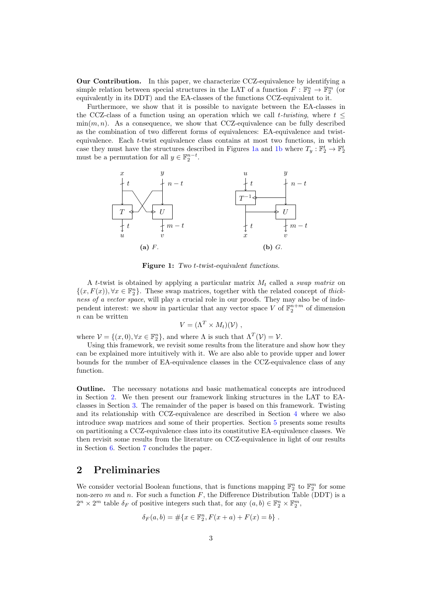Our Contribution. In this paper, we characterize CCZ-equivalence by identifying a simple relation between special structures in the LAT of a function  $F : \mathbb{F}_2^n \to \mathbb{F}_2^m$  (or equivalently in its DDT) and the EA-classes of the functions CCZ-equivalent to it.

Furthermore, we show that it is possible to navigate between the EA-classes in the CCZ-class of a function using an operation which we call  $t$ -twisting, where  $t \leq$  $\min(m, n)$ . As a consequence, we show that CCZ-equivalence can be fully described as the combination of two different forms of equivalences: EA-equivalence and twistequivalence. Each  $t$ -twist equivalence class contains at most two functions, in which case they must have the structures described in Figures [1a](#page-2-0) and [1b](#page-2-0) where  $T_y : \mathbb{F}_2^t \to \mathbb{F}_2^t$ must be a permutation for all  $y \in \mathbb{F}_2^{n-t}$ .

<span id="page-2-0"></span>

Figure 1: Two *t*-twist-equivalent functions.

A t-twist is obtained by applying a particular matrix  $M_t$  called a swap matrix on  $\{(x, F(x)), \forall x \in \mathbb{F}_2^n\}.$  These swap matrices, together with the related concept of thickness of a vector space, will play a crucial role in our proofs. They may also be of independent interest: we show in particular that any vector space V of  $\mathbb{F}_2^{n+m}$  of dimension  $n$  can be written

$$
V = (\Lambda^T \times M_t)(\mathcal{V}),
$$

where  $\mathcal{V} = \{(x, 0), \forall x \in \mathbb{F}_2^n\}$ , and where  $\Lambda$  is such that  $\Lambda^T(\mathcal{V}) = \mathcal{V}$ .

Using this framework, we revisit some results from the literature and show how they can be explained more intuitively with it. We are also able to provide upper and lower bounds for the number of EA-equivalence classes in the CCZ-equivalence class of any function.

Outline. The necessary notations and basic mathematical concepts are introduced in Section [2.](#page-2-1) We then present our framework linking structures in the LAT to EAclasses in Section [3.](#page-6-0) The remainder of the paper is based on this framework. Twisting and its relationship with CCZ-equivalence are described in Section [4](#page-11-0) where we also introduce swap matrices and some of their properties. Section [5](#page-18-0) presents some results on partitioning a CCZ-equivalence class into its constitutive EA-equivalence classes. We then revisit some results from the literature on CCZ-equivalence in light of our results in Section [6.](#page-21-0) Section [7](#page-27-0) concludes the paper.

# <span id="page-2-1"></span>2 Preliminaries

We consider vectorial Boolean functions, that is functions mapping  $\mathbb{F}_2^n$  to  $\mathbb{F}_2^m$  for some non-zero  $m$  and  $n$ . For such a function  $F$ , the Difference Distribution Table (DDT) is a  $2^n \times 2^m$  table  $\delta_F$  of positive integers such that, for any  $(a, b) \in \mathbb{F}_2^n \times \mathbb{F}_2^m$ ,

$$
\delta_F(a, b) = #\{x \in \mathbb{F}_2^n, F(x + a) + F(x) = b\}.
$$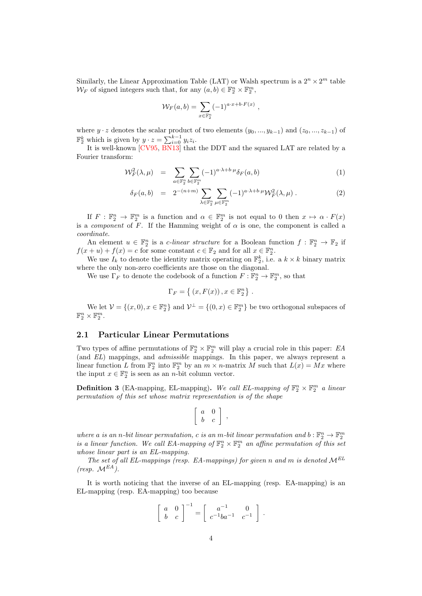Similarly, the Linear Approximation Table (LAT) or Walsh spectrum is a  $2^n \times 2^m$  table  $\mathcal{W}_F$  of signed integers such that, for any  $(a, b) \in \mathbb{F}_2^n \times \mathbb{F}_2^m$ ,

$$
\mathcal{W}_F(a,b) = \sum_{x \in \mathbb{F}_2^n} (-1)^{a \cdot x + b \cdot F(x)},
$$

where  $y \cdot z$  denotes the scalar product of two elements  $(y_0, ..., y_{k-1})$  and  $(z_0, ..., z_{k-1})$  of  $\mathbb{F}_2^k$  which is given by  $y \cdot z = \sum_{i=0}^{k-1} y_i z_i$ .

It is well-known [\[CV95,](#page-29-8) [BN13\]](#page-28-4) that the DDT and the squared LAT are related by a Fourier transform:

<span id="page-3-0"></span>
$$
\mathcal{W}_F^2(\lambda, \mu) = \sum_{a \in \mathbb{F}_2^n} \sum_{b \in \mathbb{F}_2^m} (-1)^{a \cdot \lambda + b \cdot \mu} \delta_F(a, b) \tag{1}
$$

$$
\delta_F(a,b) = 2^{-(n+m)} \sum_{\lambda \in \mathbb{F}_2^n} \sum_{\mu \in \mathbb{F}_2^m} (-1)^{a \cdot \lambda + b \cdot \mu} \mathcal{W}_F^2(\lambda, \mu).
$$
 (2)

If  $F: \mathbb{F}_2^n \to \mathbb{F}_2^m$  is a function and  $\alpha \in \mathbb{F}_2^m$  is not equal to 0 then  $x \mapsto \alpha \cdot F(x)$ is a *component* of F. If the Hamming weight of  $\alpha$  is one, the component is called a coordinate.

An element  $u \in \mathbb{F}_2^n$  is a *c*-linear structure for a Boolean function  $f : \mathbb{F}_2^n \to \mathbb{F}_2$  if  $f(x+u) + f(x) = c$  for some constant  $c \in \mathbb{F}_2$  and for all  $x \in \mathbb{F}_2^n$ .

We use  $I_k$  to denote the identity matrix operating on  $\mathbb{F}_2^k$ , i.e. a  $k \times k$  binary matrix where the only non-zero coefficients are those on the diagonal.

We use  $\Gamma_F$  to denote the codebook of a function  $F: \mathbb{F}_2^n \to \mathbb{F}_2^m$ , so that

$$
\Gamma_F = \{ (x, F(x)), x \in \mathbb{F}_2^n \} .
$$

We let  $\mathcal{V} = \{(x, 0), x \in \mathbb{F}_2^n\}$  and  $\mathcal{V}^{\perp} = \{(0, x) \in \mathbb{F}_2^m\}$  be two orthogonal subspaces of  $\mathbb{F}_2^n \times \mathbb{F}_2^m$ .

#### 2.1 Particular Linear Permutations

Two types of affine permutations of  $\mathbb{F}_2^n \times \mathbb{F}_2^m$  will play a crucial role in this paper: EA (and EL) mappings, and admissible mappings. In this paper, we always represent a linear function L from  $\mathbb{F}_2^n$  into  $\mathbb{F}_2^m$  by an  $m \times n$ -matrix M such that  $L(x) = Mx$  where the input  $x \in \mathbb{F}_2^n$  is seen as an *n*-bit column vector.

**Definition 3** (EA-mapping, EL-mapping). We call EL-mapping of  $\mathbb{F}_2^n \times \mathbb{F}_2^m$  a linear permutation of this set whose matrix representation is of the shape

$$
\left[\begin{array}{cc}a&0\\b&c\end{array}\right] ,
$$

where a is an n-bit linear permutation, c is an m-bit linear permutation and  $b : \mathbb{F}_2^n \to \mathbb{F}_2^m$ is a linear function. We call EA-mapping of  $\mathbb{F}_2^n \times \mathbb{F}_2^m$  an affine permutation of this set whose linear part is an EL-mapping.

The set of all EL-mappings (resp. EA-mappings) for given n and m is denoted  $\mathcal{M}^{EL}$  $(resp. M^{EA}.$ 

It is worth noticing that the inverse of an EL-mapping (resp. EA-mapping) is an EL-mapping (resp. EA-mapping) too because

$$
\left[\begin{array}{cc} a & 0 \\ b & c \end{array}\right]^{-1} = \left[\begin{array}{cc} a^{-1} & 0 \\ c^{-1}ba^{-1} & c^{-1} \end{array}\right] .
$$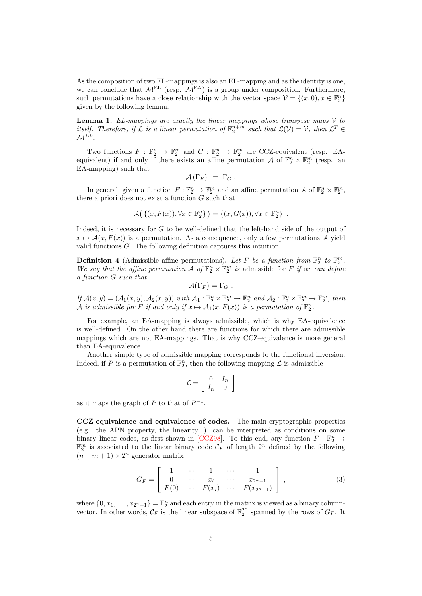As the composition of two EL-mappings is also an EL-mapping and as the identity is one, we can conclude that  $M^{EL}$  (resp.  $\widetilde{M^{EA}}$ ) is a group under composition. Furthermore, such permutations have a close relationship with the vector space  $\mathcal{V} = \{(x, 0), x \in \mathbb{F}_2^n\}$ given by the following lemma.

<span id="page-4-1"></span>**Lemma 1.** EL-mappings are exactly the linear mappings whose transpose maps  $\mathcal V$  to itself. Therefore, if  $\mathcal L$  is a linear permutation of  $\mathbb{F}_2^{n+m}$  such that  $\mathcal L(\mathcal V)=\mathcal V$ , then  $\mathcal L^T\in$  $\mathcal{M}^{\tilde{EL}}$ .

Two functions  $F: \mathbb{F}_2^n \to \mathbb{F}_2^m$  and  $G: \mathbb{F}_2^n \to \mathbb{F}_2^m$  are CCZ-equivalent (resp. EAequivalent) if and only if there exists an affine permutation A of  $\mathbb{F}_2^n \times \mathbb{F}_2^m$  (resp. an EA-mapping) such that

$$
\mathcal{A}\left(\Gamma_F\right) = \Gamma_G.
$$

In general, given a function  $F: \mathbb{F}_2^n \to \mathbb{F}_2^m$  and an affine permutation  $\mathcal{A}$  of  $\mathbb{F}_2^n \times \mathbb{F}_2^m$ , there a priori does not exist a function  $G$  such that

$$
\mathcal{A}(\{(x,F(x)),\forall x\in\mathbb{F}_2^n\}) = \{(x,G(x)),\forall x\in\mathbb{F}_2^n\} .
$$

Indeed, it is necessary for  $G$  to be well-defined that the left-hand side of the output of  $x \mapsto \mathcal{A}(x, F(x))$  is a permutation. As a consequence, only a few permutations A vield valid functions  $G$ . The following definition captures this intuition.

**Definition 4** (Admissible affine permutations). Let F be a function from  $\mathbb{F}_2^n$  to  $\mathbb{F}_2^m$ . We say that the affine permutation  $\mathcal A$  of  $\mathbb{F}_2^n \times \mathbb{F}_2^m$  is admissible for F if we can define a function G such that

$$
{\cal A}(\Gamma_{F})=\Gamma_{G}\;.
$$

If  $\mathcal{A}(x, y) = (\mathcal{A}_1(x, y), \mathcal{A}_2(x, y))$  with  $\mathcal{A}_1 : \mathbb{F}_2^n \times \mathbb{F}_2^m \to \mathbb{F}_2^n$  and  $\mathcal{A}_2 : \mathbb{F}_2^n \times \mathbb{F}_2^m \to \mathbb{F}_2^m$ , then  $\mathcal A$  is admissible for  $F$  if and only if  $x \mapsto \mathcal A_1(x, F(x))$  is a permutation of  $\mathbb F_2^n$ .

For example, an EA-mapping is always admissible, which is why EA-equivalence is well-defined. On the other hand there are functions for which there are admissible mappings which are not EA-mappings. That is why CCZ-equivalence is more general than EA-equivalence.

Another simple type of admissible mapping corresponds to the functional inversion. Indeed, if P is a permutation of  $\mathbb{F}_2^n$ , then the following mapping  $\mathcal L$  is admissible

$$
\mathcal{L} = \left[ \begin{array}{cc} 0 & I_n \\ I_n & 0 \end{array} \right]
$$

as it maps the graph of  $P$  to that of  $P^{-1}$ .

CCZ-equivalence and equivalence of codes. The main cryptographic properties (e.g. the APN property, the linearity...) can be interpreted as conditions on some binary linear codes, as first shown in [\[CCZ98\]](#page-29-7). To this end, any function  $F : \mathbb{F}_2^n \to$  $\mathbb{F}_2^m$  is associated to the linear binary code  $\mathcal{C}_F$  of length  $2^n$  defined by the following  $(n + m + 1) \times 2^n$  generator matrix

<span id="page-4-0"></span>
$$
G_F = \begin{bmatrix} 1 & \cdots & 1 & \cdots & 1 \\ 0 & \cdots & x_i & \cdots & x_{2n-1} \\ F(0) & \cdots & F(x_i) & \cdots & F(x_{2n-1}) \end{bmatrix},
$$
 (3)

where  $\{0, x_1, \ldots, x_{2^n-1}\} = \mathbb{F}_2^n$  and each entry in the matrix is viewed as a binary columnvector. In other words,  $\mathcal{C}_F$  is the linear subspace of  $\mathbb{F}_2^{2^n}$  spanned by the rows of  $G_F$ . It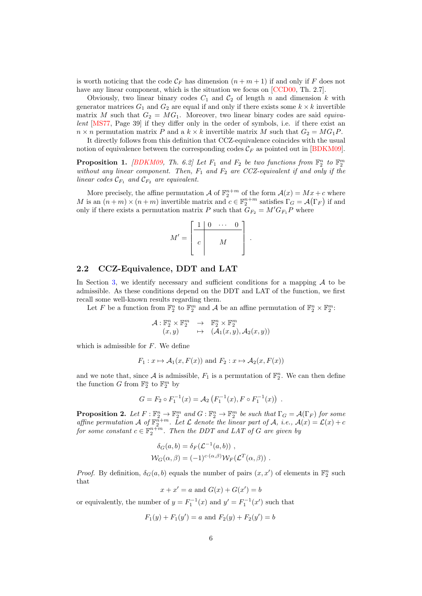is worth noticing that the code  $\mathcal{C}_F$  has dimension  $(n + m + 1)$  if and only if F does not have any linear component, which is the situation we focus on [\[CCD00,](#page-29-9) Th. 2.7].

Obviously, two linear binary codes  $C_1$  and  $C_2$  of length  $n$  and dimension  $k$  with generator matrices  $G_1$  and  $G_2$  are equal if and only if there exists some  $k \times k$  invertible matrix M such that  $G_2 = MG_1$ . Moreover, two linear binary codes are said *equiva*lent [\[MS77,](#page-29-10) Page 39] if they differ only in the order of symbols, i.e. if there exist an  $n \times n$  permutation matrix P and a  $k \times k$  invertible matrix M such that  $G_2 = MG_1P$ .

It directly follows from this definition that CCZ-equivalence coincides with the usual notion of equivalence between the corresponding codes  $\mathcal{C}_F$  as pointed out in [\[BDKM09\]](#page-28-5).

**Proposition 1.** [\[BDKM09,](#page-28-5) Th. 6.2] Let  $F_1$  and  $F_2$  be two functions from  $\mathbb{F}_2^n$  to  $\mathbb{F}_2^m$ without any linear component. Then,  $F_1$  and  $F_2$  are CCZ-equivalent if and only if the linear codes  $\mathcal{C}_{F_1}$  and  $\mathcal{C}_{F_2}$  are equivalent.

More precisely, the affine permutation  $\mathcal A$  of  $\mathbb{F}_2^{n+m}$  of the form  $\mathcal A(x) = Mx + c$  where M is an  $(n+m) \times (n+m)$  invertible matrix and  $c \in \mathbb{F}_2^{n+m}$  satisfies  $\Gamma_G = \mathcal{A}(\Gamma_F)$  if and only if there exists a permutation matrix P such that  $G_{F_2} = M' G_{F_1} P$  where



### 2.2 CCZ-Equivalence, DDT and LAT

In Section [3,](#page-6-0) we identify necessary and sufficient conditions for a mapping  $A$  to be admissible. As these conditions depend on the DDT and LAT of the function, we first recall some well-known results regarding them.

Let F be a function from  $\mathbb{F}_2^n$  to  $\mathbb{F}_2^m$  and A be an affine permutation of  $\mathbb{F}_2^n \times \mathbb{F}_2^m$ :

$$
\begin{array}{rcl}\n\mathcal{A} : \mathbb{F}_2^n \times \mathbb{F}_2^m & \to & \mathbb{F}_2^n \times \mathbb{F}_2^m \\
(x, y) & \mapsto & (\mathcal{A}_1(x, y), \mathcal{A}_2(x, y))\n\end{array}
$$

which is admissible for  $F$ . We define

$$
F_1: x \mapsto A_1(x, F(x))
$$
 and  $F_2: x \mapsto A_2(x, F(x))$ 

and we note that, since  $A$  is admissible,  $F_1$  is a permutation of  $\mathbb{F}_2^n$ . We can then define the function G from  $\mathbb{F}_2^n$  to  $\mathbb{F}_2^m$  by

$$
G = F_2 \circ F_1^{-1}(x) = A_2 \left( F_1^{-1}(x), F \circ F_1^{-1}(x) \right) .
$$

**Proposition 2.** Let  $F : \mathbb{F}_2^n \to \mathbb{F}_2^m$  and  $G : \mathbb{F}_2^n \to \mathbb{F}_2^m$  be such that  $\Gamma_G = \mathcal{A}(\Gamma_F)$  for some affine permutation  $\mathcal A$  of  $\mathbb{F}_2^{n+m}$ . Let  $\mathcal L$  denote the linear part of  $\mathcal A$ , i.e.,  $\mathcal A(x) = \mathcal L(x) + c$ for some constant  $c \in \mathbb{F}_2^{n+m}$ . Then the DDT and LAT of G are given by

$$
\delta_G(a, b) = \delta_F(\mathcal{L}^{-1}(a, b)),
$$
  

$$
\mathcal{W}_G(\alpha, \beta) = (-1)^{c \cdot (\alpha, \beta)} \mathcal{W}_F(\mathcal{L}^T(\alpha, \beta)).
$$

*Proof.* By definition,  $\delta_G(a, b)$  equals the number of pairs  $(x, x')$  of elements in  $\mathbb{F}_2^n$  such that

$$
x + x' = a
$$
 and  $G(x) + G(x') = b$ 

or equivalently, the number of  $y = F_1^{-1}(x)$  and  $y' = F_1^{-1}(x')$  such that

$$
F_1(y) + F_1(y') = a
$$
 and  $F_2(y) + F_2(y') = b$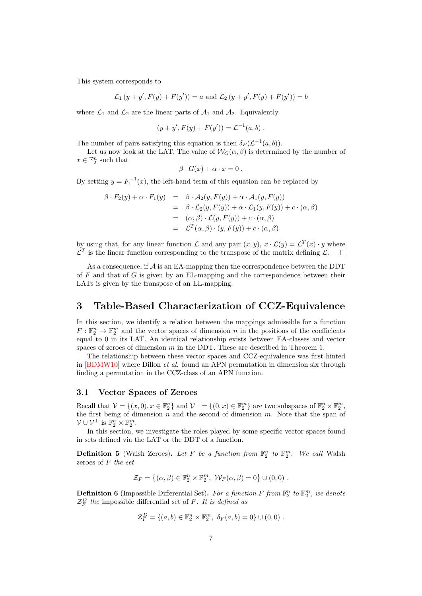This system corresponds to

$$
\mathcal{L}_1(y + y', F(y) + F(y')) = a
$$
 and  $\mathcal{L}_2(y + y', F(y) + F(y')) = b$ 

where  $\mathcal{L}_1$  and  $\mathcal{L}_2$  are the linear parts of  $\mathcal{A}_1$  and  $\mathcal{A}_2$ . Equivalently

$$
(y + y', F(y) + F(y')) = \mathcal{L}^{-1}(a, b) .
$$

The number of pairs satisfying this equation is then  $\delta_F(\mathcal{L}^{-1}(a, b))$ .

Let us now look at the LAT. The value of  $W_G(\alpha, \beta)$  is determined by the number of  $x\in\mathbb{F}_2^n$  such that

$$
\beta \cdot G(x) + \alpha \cdot x = 0.
$$

By setting  $y = F_1^{-1}(x)$ , the left-hand term of this equation can be replaced by

$$
\beta \cdot F_2(y) + \alpha \cdot F_1(y) = \beta \cdot \mathcal{A}_2(y, F(y)) + \alpha \cdot \mathcal{A}_1(y, F(y))
$$
  
\n
$$
= \beta \cdot \mathcal{L}_2(y, F(y)) + \alpha \cdot \mathcal{L}_1(y, F(y)) + c \cdot (\alpha, \beta)
$$
  
\n
$$
= (\alpha, \beta) \cdot \mathcal{L}(y, F(y)) + c \cdot (\alpha, \beta)
$$
  
\n
$$
= \mathcal{L}^T(\alpha, \beta) \cdot (y, F(y)) + c \cdot (\alpha, \beta)
$$

by using that, for any linear function  $\mathcal L$  and any pair  $(x, y), x \cdot \mathcal L(y) = \mathcal L^{T}(x) \cdot y$  where  $\mathcal{L}^T$  is the linear function corresponding to the transpose of the matrix defining  $\mathcal{L}$ .  $\Box$ 

As a consequence, if  $A$  is an EA-mapping then the correspondence between the DDT of  $F$  and that of  $G$  is given by an EL-mapping and the correspondence between their LATs is given by the transpose of an EL-mapping.

# <span id="page-6-0"></span>3 Table-Based Characterization of CCZ-Equivalence

In this section, we identify a relation between the mappings admissible for a function  $F: \mathbb{F}_2^n \to \mathbb{F}_2^m$  and the vector spaces of dimension  $n$  in the positions of the coefficients equal to 0 in its LAT. An identical relationship exists between EA-classes and vector spaces of zeroes of dimension  $m$  in the DDT. These are described in Theorem [1.](#page-8-0)

The relationship between these vector spaces and CCZ-equivalence was first hinted in  $[BDMW10]$  where Dillon *et al.* found an APN permutation in dimension six through finding a permutation in the CCZ-class of an APN function.

### 3.1 Vector Spaces of Zeroes

Recall that  $\mathcal{V} = \{(x, 0), x \in \mathbb{F}_2^n\}$  and  $\mathcal{V}^{\perp} = \{(0, x) \in \mathbb{F}_2^m\}$  are two subspaces of  $\mathbb{F}_2^n \times \mathbb{F}_2^m$ , the first being of dimension  $n$  and the second of dimension  $m$ . Note that the span of  $\mathcal{V} \cup \mathcal{V}^{\perp}$  is  $\mathbb{F}_2^n \times \mathbb{F}_2^m$ .

In this section, we investigate the roles played by some specific vector spaces found in sets defined via the LAT or the DDT of a function.

**Definition 5** (Walsh Zeroes). Let F be a function from  $\mathbb{F}_2^n$  to  $\mathbb{F}_2^m$ . We call Walsh zeroes of  $F$  the set

$$
\mathcal{Z}_F = \left\{ (\alpha, \beta) \in \mathbb{F}_2^n \times \mathbb{F}_2^m, \ \mathcal{W}_F(\alpha, \beta) = 0 \right\} \cup (0, 0) \ .
$$

**Definition 6** (Impossible Differential Set). For a function F from  $\mathbb{F}_2^n$  to  $\mathbb{F}_2^m$ , we denote  $\mathcal{Z}_F^D$  the impossible differential set of F. It is defined as

$$
\mathcal{Z}_F^D = \{(a, b) \in \mathbb{F}_2^n \times \mathbb{F}_2^m, \ \delta_F(a, b) = 0\} \cup (0, 0) \ .
$$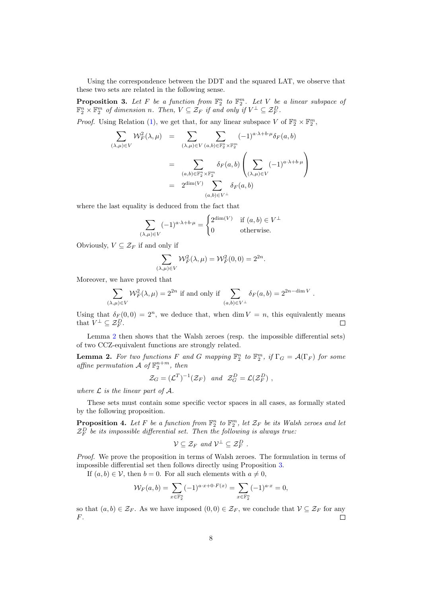Using the correspondence between the DDT and the squared LAT, we observe that these two sets are related in the following sense.

<span id="page-7-1"></span>**Proposition 3.** Let F be a function from  $\mathbb{F}_2^n$  to  $\mathbb{F}_2^m$ . Let V be a linear subspace of  $\mathbb{F}_2^n \times \mathbb{F}_2^m$  of dimension n. Then,  $V \subseteq \mathcal{Z}_F$  if and only if  $V^{\perp} \subseteq \mathcal{Z}_F^D$ .

*Proof.* Using Relation [\(1\)](#page-3-0), we get that, for any linear subspace V of  $\mathbb{F}_2^n \times \mathbb{F}_2^m$ ,

$$
\sum_{(\lambda,\mu)\in V} \mathcal{W}_F^2(\lambda,\mu) = \sum_{(\lambda,\mu)\in V} \sum_{(a,b)\in \mathbb{F}_2^n \times \mathbb{F}_2^m} (-1)^{a\cdot\lambda + b\cdot\mu} \delta_F(a,b)
$$

$$
= \sum_{(a,b)\in \mathbb{F}_2^n \times \mathbb{F}_2^m} \delta_F(a,b) \left( \sum_{(\lambda,\mu)\in V} (-1)^{a\cdot\lambda + b\cdot\mu} \right)
$$

$$
= 2^{\dim(V)} \sum_{(a,b)\in V^{\perp}} \delta_F(a,b)
$$

where the last equality is deduced from the fact that

$$
\sum_{(\lambda,\mu)\in V} (-1)^{a\cdot\lambda+b\cdot\mu} = \begin{cases} 2^{\dim(V)} & \text{if } (a,b)\in V^{\perp} \\ 0 & \text{otherwise.} \end{cases}
$$

Obviously,  $V \subseteq \mathcal{Z}_F$  if and only if

 $($ 

$$
\sum_{(\lambda,\mu)\in V} \mathcal{W}_F^2(\lambda,\mu)=\mathcal{W}_F^2(0,0)=2^{2n}.
$$

Moreover, we have proved that

$$
\sum_{(\lambda,\mu)\in V} \mathcal{W}_F^2(\lambda,\mu) = 2^{2n}
$$
 if and only if 
$$
\sum_{(a,b)\in V^{\perp}} \delta_F(a,b) = 2^{2n-\dim V}.
$$

Using that  $\delta_F(0, 0) = 2^n$ , we deduce that, when dim  $V = n$ , this equivalently means that  $V^{\perp} \subseteq \mathcal{Z}_F^D$ .  $\Box$ 

Lemma [2](#page-7-0) then shows that the Walsh zeroes (resp. the impossible differential sets) of two CCZ-equivalent functions are strongly related.

<span id="page-7-0"></span>**Lemma 2.** For two functions F and G mapping  $\mathbb{F}_2^n$  to  $\mathbb{F}_2^m$ , if  $\Gamma_G = \mathcal{A}(\Gamma_F)$  for some affine permutation  $\mathcal{A}$  of  $\mathbb{F}_2^{n+m}$ , then

$$
\mathcal{Z}_G = (\mathcal{L}^T)^{-1}(\mathcal{Z}_F) \quad and \quad \mathcal{Z}_G^D = \mathcal{L}(\mathcal{Z}_F^D) \ ,
$$

where  $\mathcal L$  is the linear part of  $\mathcal A$ .

These sets must contain some specific vector spaces in all cases, as formally stated by the following proposition.

**Proposition 4.** Let F be a function from  $\mathbb{F}_2^n$  to  $\mathbb{F}_2^m$ , let  $\mathcal{Z}_F$  be its Walsh zeroes and let  $\mathcal{Z}_F^D$  be its impossible differential set. Then the following is always true:

$$
\mathcal{V} \subseteq \mathcal{Z}_F \text{ and } \mathcal{V}^{\perp} \subseteq \mathcal{Z}_F^D .
$$

Proof. We prove the proposition in terms of Walsh zeroes. The formulation in terms of impossible differential set then follows directly using Proposition [3.](#page-7-1)

If  $(a, b) \in V$ , then  $b = 0$ . For all such elements with  $a \neq 0$ ,

$$
\mathcal{W}_F(a,b) = \sum_{x \in \mathbb{F}_2^n} (-1)^{a \cdot x + 0 \cdot F(x)} = \sum_{x \in \mathbb{F}_2^n} (-1)^{a \cdot x} = 0,
$$

so that  $(a, b) \in \mathcal{Z}_F$ . As we have imposed  $(0, 0) \in \mathcal{Z}_F$ , we conclude that  $\mathcal{V} \subseteq \mathcal{Z}_F$  for any  $F$ .  $\Box$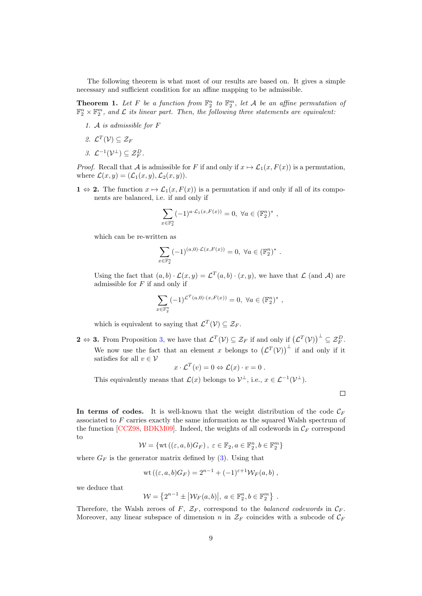The following theorem is what most of our results are based on. It gives a simple necessary and sufficient condition for an affine mapping to be admissible.

<span id="page-8-0"></span>**Theorem 1.** Let F be a function from  $\mathbb{F}_2^n$  to  $\mathbb{F}_2^m$ , let A be an affine permutation of  $\mathbb{F}_2^n \times \mathbb{F}_2^m$ , and  $\mathcal L$  its linear part. Then, the following three statements are equivalent:

- 1. A is admissible for  $F$
- 2.  $\mathcal{L}^T(\mathcal{V}) \subseteq \mathcal{Z}_F$
- 3.  $\mathcal{L}^{-1}(\mathcal{V}^{\perp}) \subseteq \mathcal{Z}_F^D$ .

*Proof.* Recall that A is admissible for F if and only if  $x \mapsto \mathcal{L}_1(x, F(x))$  is a permutation, where  $\mathcal{L}(x, y) = (\mathcal{L}_1(x, y), \mathcal{L}_2(x, y)).$ 

1  $\Leftrightarrow$  2. The function  $x \mapsto \mathcal{L}_1(x, F(x))$  is a permutation if and only if all of its components are balanced, i.e. if and only if

$$
\sum_{x \in \mathbb{F}_2^n} (-1)^{a \cdot \mathcal{L}_1(x, F(x))} = 0, \ \forall a \in (\mathbb{F}_2^n)^*,
$$

which can be re-written as

$$
\sum_{x \in \mathbb{F}_2^n} (-1)^{(a,0)\cdot \mathcal{L}(x,F(x))} = 0, \ \forall a \in (\mathbb{F}_2^n)^* .
$$

Using the fact that  $(a, b) \cdot \mathcal{L}(x, y) = \mathcal{L}^T(a, b) \cdot (x, y)$ , we have that  $\mathcal L$  (and A) are admissible for  $F$  if and only if

$$
\sum_{x \in \mathbb{F}_2^n} (-1)^{\mathcal{L}^T(a,0)\cdot (x,F(x))} = 0, \ \forall a \in (\mathbb{F}_2^n)^*,
$$

which is equivalent to saying that  $\mathcal{L}^T(\mathcal{V}) \subseteq \mathcal{Z}_F$ .

**2**  $\Leftrightarrow$  **3.** From Proposition [3,](#page-7-1) we have that  $\mathcal{L}^T(\mathcal{V}) \subseteq \mathcal{Z}_F$  if and only if  $(\mathcal{L}^T(\mathcal{V}))^{\perp} \subseteq \mathcal{Z}_F^D$ . We now use the fact that an element x belongs to  $({\cal L}^T({\cal V}))^{\perp}$  if and only if it satisfies for all  $v \in V$ 

$$
x \cdot \mathcal{L}^T(v) = 0 \Leftrightarrow \mathcal{L}(x) \cdot v = 0.
$$

This equivalently means that  $\mathcal{L}(x)$  belongs to  $\mathcal{V}^{\perp}$ , i.e.,  $x \in \mathcal{L}^{-1}(\mathcal{V}^{\perp})$ .

 $\Box$ 

In terms of codes. It is well-known that the weight distribution of the code  $\mathcal{C}_F$ associated to  $F$  carries exactly the same information as the squared Walsh spectrum of the function [\[CCZ98,](#page-29-7) [BDKM09\]](#page-28-5). Indeed, the weights of all codewords in  $\mathcal{C}_F$  correspond to

$$
\mathcal{W}=\{\text{wt}\left((\varepsilon, a, b)G_F\right),\; \varepsilon\in\mathbb{F}_2, a\in\mathbb{F}_2^n, b\in\mathbb{F}_2^m\}
$$

where  $G_F$  is the generator matrix defined by [\(3\)](#page-4-0). Using that

$$
wt ((\varepsilon, a, b)G_F) = 2^{n-1} + (-1)^{\varepsilon+1} \mathcal{W}_F(a, b) ,
$$

we deduce that

$$
\mathcal{W} = \left\{2^{n-1} \pm \left|\mathcal{W}_F(a,b)\right|, a \in \mathbb{F}_2^n, b \in \mathbb{F}_2^m\right\}.
$$

Therefore, the Walsh zeroes of F,  $\mathcal{Z}_F$ , correspond to the balanced codewords in  $\mathcal{C}_F$ . Moreover, any linear subspace of dimension n in  $\mathcal{Z}_F$  coincides with a subcode of  $\mathcal{C}_F$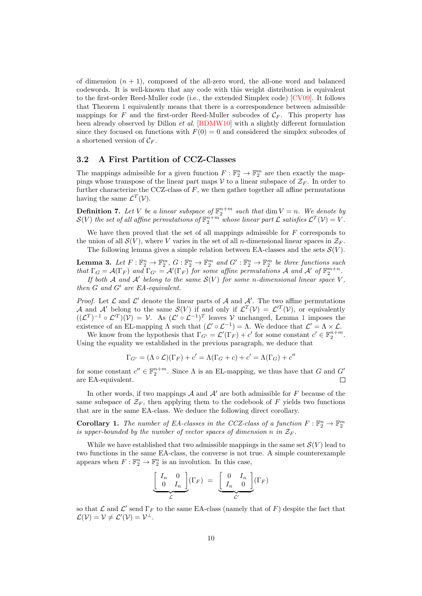of dimension  $(n + 1)$ , composed of the all-zero word, the all-one word and balanced codewords. It is well-known that any code with this weight distribution is equivalent to the first-order Reed-Muller code (i.e., the extended Simplex code) [\[CV09\]](#page-29-11). It follows that Theorem [1](#page-8-0) equivalently means that there is a correspondence between admissible mappings for F and the first-order Reed-Muller subcodes of  $C_F$ . This property has been already observed by Dillon et al. [\[BDMW10\]](#page-28-2) with a slightly different formulation since they focused on functions with  $F(0) = 0$  and considered the simplex subcodes of a shortened version of  $\mathcal{C}_F$ .

### <span id="page-9-1"></span>3.2 A First Partition of CCZ-Classes

The mappings admissible for a given function  $F : \mathbb{F}_2^n \to \mathbb{F}_2^m$  are then exactly the mappings whose transpose of the linear part maps  $\mathcal V$  to a linear subspace of  $\mathcal Z_F$ . In order to further characterize the CCZ-class of  $F$ , we then gather together all affine permutations having the same  $\mathcal{L}^T(\mathcal{V})$ .

**Definition 7.** Let V be a linear subspace of  $\mathbb{F}_2^{n+m}$  such that  $\dim V = n$ . We denote by  $\mathcal{S}(V)$  the set of all affine permutations of  $\mathbb{F}_2^{n+m}$  whose linear part  $\mathcal{L}$  satisfies  $\mathcal{L}^T(\mathcal{V})=V$ .

We have then proved that the set of all mappings admissible for  $F$  corresponds to the union of all  $\mathcal{S}(V)$ , where V varies in the set of all *n*-dimensional linear spaces in  $\mathcal{Z}_F$ .

The following lemma gives a simple relation between EA-classes and the sets  $\mathcal{S}(V)$ .

<span id="page-9-0"></span>**Lemma 3.** Let  $F: \mathbb{F}_2^n \to \mathbb{F}_2^m$ ,  $G: \mathbb{F}_2^n \to \mathbb{F}_2^m$  and  $G': \mathbb{F}_2^n \to \mathbb{F}_2^m$  be three functions such that  $\Gamma_G = \mathcal{A}(\Gamma_F)$  and  $\Gamma_{G'} = \mathcal{A}'(\Gamma_F)$  for some affine permutations A and A' of  $\mathbb{F}_2^{m+n}$ .

If both A and A' belong to the same  $\mathcal{S}(V)$  for some n-dimensional linear space V, then  $G$  and  $G'$  are  $EA$ -equivalent.

*Proof.* Let  $\mathcal L$  and  $\mathcal L'$  denote the linear parts of  $\mathcal A$  and  $\mathcal A'$ . The two affine permutations A and A' belong to the same  $\mathcal{S}(V)$  if and only if  $\mathcal{L}^T(\mathcal{V}) = \mathcal{L}^{\prime T}(\mathcal{V})$ , or equivalently  $((\mathcal{L}^T)^{-1} \circ \mathcal{L}^{\prime T})(\mathcal{V}) = \mathcal{V}$  $((\mathcal{L}^T)^{-1} \circ \mathcal{L}^{\prime T})(\mathcal{V}) = \mathcal{V}$  $((\mathcal{L}^T)^{-1} \circ \mathcal{L}^{\prime T})(\mathcal{V}) = \mathcal{V}$ . As  $(\mathcal{L}^{\prime} \circ \mathcal{L}^{-1})^T$  leaves  $\mathcal{V}$  unchanged, Lemma 1 imposes the existence of an EL-mapping  $\Lambda$  such that  $(\mathcal{L}' \circ \mathcal{L}^{-1}) = \Lambda$ . We deduce that  $\mathcal{L}' = \Lambda \times \mathcal{L}$ .

We know from the hypothesis that  $\Gamma_{G'} = \mathcal{L}'(\Gamma_F) + c'$  for some constant  $c' \in \mathbb{F}_2^{n+m}$ . Using the equality we established in the previous paragraph, we deduce that

$$
\Gamma_{G'} = (\Lambda \circ \mathcal{L})(\Gamma_F) + c' = \Lambda(\Gamma_G + c) + c' = \Lambda(\Gamma_G) + c''
$$

for some constant  $c'' \in \mathbb{F}_2^{n+m}$ . Since  $\Lambda$  is an EL-mapping, we thus have that G and G' are EA-equivalent.  $\Box$ 

In other words, if two mappings  $A$  and  $A'$  are both admissible for  $F$  because of the same subspace of  $\mathcal{Z}_F$ , then applying them to the codebook of F yields two functions that are in the same EA-class. We deduce the following direct corollary.

<span id="page-9-2"></span>**Corollary 1.** The number of EA-classes in the CCZ-class of a function  $F : \mathbb{F}_2^n \to \mathbb{F}_2^m$ is upper-bounded by the number of vector spaces of dimension n in  $\mathcal{Z}_F$ .

While we have established that two admissible mappings in the same set  $\mathcal{S}(V)$  lead to two functions in the same EA-class, the converse is not true. A simple counterexample appears when  $F: \mathbb{F}_2^n \to \mathbb{F}_2^n$  is an involution. In this case,

$$
\underbrace{\left[\begin{array}{cc} I_n & 0 \\ 0 & I_n \end{array}\right]}_{\mathcal{L}}(\Gamma_F) = \underbrace{\left[\begin{array}{cc} 0 & I_n \\ I_n & 0 \end{array}\right]}_{\mathcal{L}'}(\Gamma_F)
$$

so that  $\mathcal L$  and  $\mathcal L'$  send  $\Gamma_F$  to the same EA-class (namely that of F) despite the fact that  $\mathcal{L}(\mathcal{V}) = \mathcal{V} \neq \mathcal{L}'(\mathcal{V}) = \mathcal{V}^{\perp}.$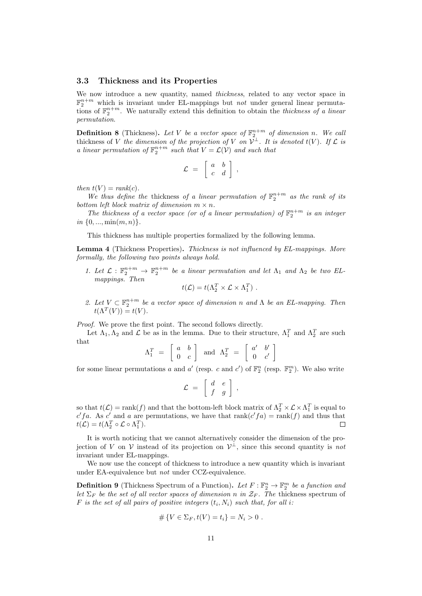#### <span id="page-10-1"></span>3.3 Thickness and its Properties

We now introduce a new quantity, named *thickness*, related to any vector space in  $\mathbb{F}_2^{n+m}$  which is invariant under EL-mappings but *not* under general linear permutations of  $\mathbb{F}_2^{n+m}$ . We naturally extend this definition to obtain the *thickness of a linear* permutation.

**Definition 8** (Thickness). Let V be a vector space of  $\mathbb{F}_2^{n+m}$  of dimension n. We call thickness of V the dimension of the projection of V on  $\mathcal{V}^{\perp}$ . It is denoted  $t(V)$ . If  $\mathcal L$  is a linear permutation of  $\mathbb{F}_2^{n+m}$  such that  $V = \mathcal{L}(V)$  and such that

$$
\mathcal{L} ~=~ \left[ \begin{array}{cc} a & b \\ c & d \end{array} \right]~,
$$

then  $t(V) = rank(c)$ .

We thus define the thickness of a linear permutation of  $\mathbb{F}_2^{n+m}$  as the rank of its bottom left block matrix of dimension  $m \times n$ .

The thickness of a vector space (or of a linear permutation) of  $\mathbb{F}_2^{n+m}$  is an integer in  $\{0, ..., \min(m, n)\}.$ 

This thickness has multiple properties formalized by the following lemma.

<span id="page-10-0"></span>Lemma 4 (Thickness Properties). Thickness is not influenced by EL-mappings. More formally, the following two points always hold.

1. Let  $\mathcal{L}: \mathbb{F}_2^{n+m} \to \mathbb{F}_2^{n+m}$  be a linear permutation and let  $\Lambda_1$  and  $\Lambda_2$  be two ELmappings. Then

$$
t(\mathcal{L}) = t(\Lambda_2^T \times \mathcal{L} \times \Lambda_1^T) .
$$

2. Let  $V \subset \mathbb{F}_2^{n+m}$  be a vector space of dimension n and  $\Lambda$  be an EL-mapping. Then  $t(\Lambda^T(V)) = t(V).$ 

Proof. We prove the first point. The second follows directly.

Let  $\Lambda_1, \Lambda_2$  and  $\mathcal L$  be as in the lemma. Due to their structure,  $\Lambda_1^T$  and  $\Lambda_2^T$  are such that

$$
\Lambda_1^T = \left[ \begin{array}{cc} a & b \\ 0 & c \end{array} \right] \quad \text{and} \quad \Lambda_2^T = \left[ \begin{array}{cc} a' & b' \\ 0 & c' \end{array} \right]
$$

for some linear permutations a and a' (resp. c and c') of  $\mathbb{F}_2^n$  (resp.  $\mathbb{F}_2^m$ ). We also write

$$
\mathcal{L} = \left[ \begin{array}{cc} d & e \\ f & g \end{array} \right] ,
$$

so that  $t(\mathcal{L}) = \text{rank}(f)$  and that the bottom-left block matrix of  $\Lambda_2^T \times \mathcal{L} \times \Lambda_1^T$  is equal to c' fa. As c' and a are permutations, we have that  $rank(c'fa) = rank(f)$  and thus that  $t(\mathcal{L}) = t(\Lambda_2^T \circ \mathcal{L} \circ \Lambda_1^T).$ П

It is worth noticing that we cannot alternatively consider the dimension of the projection of V on V instead of its projection on  $\mathcal{V}^{\perp}$ , since this second quantity is not invariant under EL-mappings.

We now use the concept of thickness to introduce a new quantity which is invariant under EA-equivalence but not under CCZ-equivalence.

<span id="page-10-2"></span>**Definition 9** (Thickness Spectrum of a Function). Let  $F : \mathbb{F}_2^n \to \mathbb{F}_2^m$  be a function and let  $\Sigma_F$  be the set of all vector spaces of dimension n in  $\mathcal{Z}_F$ . The thickness spectrum of F is the set of all pairs of positive integers  $(t_i, N_i)$  such that, for all i.

$$
#\{V \in \Sigma_F, t(V) = t_i\} = N_i > 0.
$$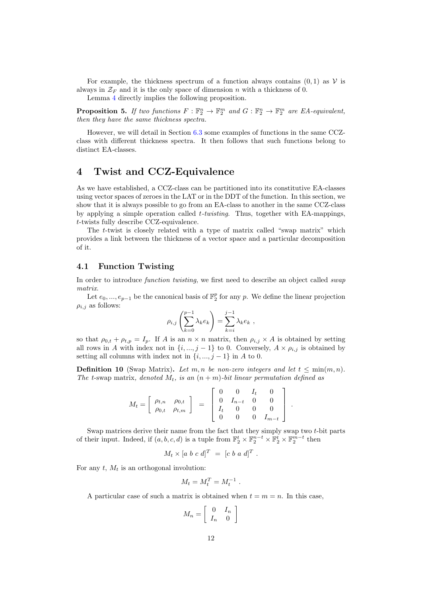For example, the thickness spectrum of a function always contains  $(0, 1)$  as V is always in  $\mathcal{Z}_F$  and it is the only space of dimension *n* with a thickness of 0.

Lemma [4](#page-10-0) directly implies the following proposition.

**Proposition 5.** If two functions  $F : \mathbb{F}_2^n \to \mathbb{F}_2^m$  and  $G : \mathbb{F}_2^n \to \mathbb{F}_2^m$  are EA-equivalent, then they have the same thickness spectra.

However, we will detail in Section [6.3](#page-25-0) some examples of functions in the same CCZclass with different thickness spectra. It then follows that such functions belong to distinct EA-classes.

# <span id="page-11-0"></span>4 Twist and CCZ-Equivalence

As we have established, a CCZ-class can be partitioned into its constitutive EA-classes using vector spaces of zeroes in the LAT or in the DDT of the function. In this section, we show that it is always possible to go from an EA-class to another in the same CCZ-class by applying a simple operation called  $t$ -twisting. Thus, together with EA-mappings, -twists fully describe CCZ-equivalence.

The  $t$ -twist is closely related with a type of matrix called "swap matrix" which provides a link between the thickness of a vector space and a particular decomposition of it.

### 4.1 Function Twisting

In order to introduce *function twisting*, we first need to describe an object called *swap* matrix.

Let  $e_0, ..., e_{p-1}$  be the canonical basis of  $\mathbb{F}_2^p$  for any p. We define the linear projection  $\rho_{i,j}$  as follows:

$$
\rho_{i,j}\left(\sum_{k=0}^{p-1} \lambda_k e_k\right) = \sum_{k=i}^{j-1} \lambda_k e_k,
$$

so that  $\rho_{0,t} + \rho_{t,p} = I_p$ . If A is an  $n \times n$  matrix, then  $\rho_{i,j} \times A$  is obtained by setting all rows in A with index not in  $\{i, ..., j-1\}$  to 0. Conversely,  $A \times \rho_{i,j}$  is obtained by setting all columns with index not in  $\{i, ..., j-1\}$  in A to 0.

**Definition 10** (Swap Matrix). Let m, n be non-zero integers and let  $t \leq \min(m, n)$ . The t-swap matrix, denoted  $M_t$ , is an  $(n + m)$ -bit linear permutation defined as

$$
M_t = \left[ \begin{array}{cc} \rho_{t,n} & \rho_{0,t} \\ \rho_{0,t} & \rho_{t,m} \end{array} \right] = \left[ \begin{array}{cccc} 0 & 0 & I_t & 0 \\ 0 & I_{n-t} & 0 & 0 \\ I_t & 0 & 0 & 0 \\ 0 & 0 & 0 & I_{m-t} \end{array} \right]
$$

.

Swap matrices derive their name from the fact that they simply swap two  $t$ -bit parts of their input. Indeed, if  $(a, b, c, d)$  is a tuple from  $\mathbb{F}_2^t \times \mathbb{F}_2^{n-t} \times \mathbb{F}_2^t \times \mathbb{F}_2^{m-t}$  then

$$
M_t \times [a \ b \ c \ d]^T = [c \ b \ a \ d]^T.
$$

For any  $t$ ,  $M_t$  is an orthogonal involution:

$$
M_t = M_t^T = M_t^{-1} .
$$

A particular case of such a matrix is obtained when  $t = m = n$ . In this case,

$$
M_n = \left[ \begin{array}{cc} 0 & I_n \\ I_n & 0 \end{array} \right]
$$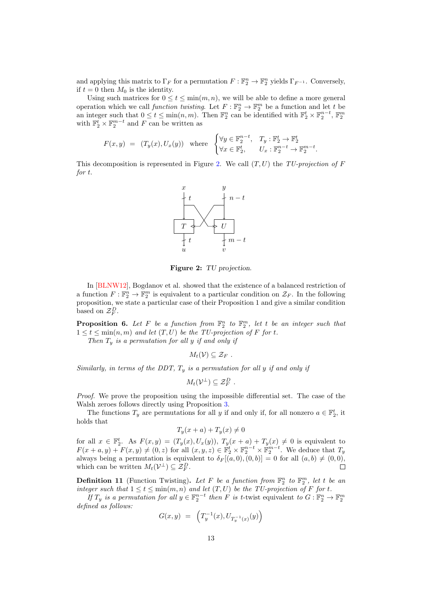and applying this matrix to  $\Gamma_F$  for a permutation  $F : \mathbb{F}_2^n \to \mathbb{F}_2^n$  yields  $\Gamma_{F^{-1}}$ . Conversely, if  $t = 0$  then  $M_0$  is the identity.

Using such matrices for  $0 \le t \le \min(m, n)$ , we will be able to define a more general operation which we call *function twisting*. Let  $F : \mathbb{F}_2^n \to \mathbb{F}_2^m$  be a function and let t be an integer such that  $0 \le t \le \min(n, m)$ . Then  $\mathbb{F}_2^n$  can be identified with  $\mathbb{F}_2^t \times \mathbb{F}_2^{n-t}$ ,  $\mathbb{F}_2^m$  with  $\mathbb{F}_2^t \times \mathbb{F}_2^{m-t}$  and F can be written as

$$
F(x,y) = (T_y(x), U_x(y)) \quad \text{where} \quad\n\begin{cases}\n\forall y \in \mathbb{F}_2^{n-t}, & T_y: \mathbb{F}_2^t \to \mathbb{F}_2^t \\
\forall x \in \mathbb{F}_2^t, & U_x: \mathbb{F}_2^{n-t} \to \mathbb{F}_2^{m-t}.\n\end{cases}
$$

<span id="page-12-0"></span>This decomposition is represented in Figure [2.](#page-12-0) We call  $(T, U)$  the TU-projection of F  $for t.$ 



Figure 2: TU projection.

In [\[BLNW12\]](#page-28-6), Bogdanov et al. showed that the existence of a balanced restriction of a function  $F: \mathbb{F}_2^n \to \mathbb{F}_2^m$  is equivalent to a particular condition on  $\mathcal{Z}_F$ . In the following proposition, we state a particular case of their Proposition 1 and give a similar condition based on  $\mathcal{Z}_F^D$ .

**Proposition 6.** Let F be a function from  $\mathbb{F}_2^n$  to  $\mathbb{F}_2^m$ , let t be an integer such that  $1 \leq t \leq \min(n, m)$  and let  $(T, U)$  be the TU-projection of F for t.

Then  $T_y$  is a permutation for all  $y$  if and only if

 $M_t(\mathcal{V}) \subseteq \mathcal{Z}_F$ .

Similarly, in terms of the DDT,  $T<sub>y</sub>$  is a permutation for all y if and only if

$$
M_t(\mathcal{V}^\perp) \subseteq \mathcal{Z}_F^D.
$$

Proof. We prove the proposition using the impossible differential set. The case of the Walsh zeroes follows directly using Proposition [3.](#page-7-1)

The functions  $T_y$  are permutations for all y if and only if, for all nonzero  $a \in \mathbb{F}_2^t$ , it holds that

$$
T_y(x+a) + T_y(x) \neq 0
$$

for all  $x \in \mathbb{F}_2^t$ . As  $F(x, y) = (T_y(x), U_x(y)), T_y(x + a) + T_y(x) \neq 0$  is equivalent to  $F(x + a, y) + F(x, y) \neq (0, z)$  for all  $(x, y, z) \in \mathbb{F}_2^t \times \mathbb{F}_2^{n-t} \times \mathbb{F}_2^{m-t}$ . We deduce that  $T_y$ always being a permutation is equivalent to  $\delta_F[(a, 0), (0, b)] = 0$  for all  $(a, b) \neq (0, 0),$ which can be written  $M_t(\mathcal{V}^{\perp}) \subseteq \mathcal{Z}_F^D$ .  $\Box$ 

**Definition 11** (Function Twisting). Let F be a function from  $\mathbb{F}_2^n$  to  $\mathbb{F}_2^m$ , let t be an integer such that  $1 \le t \le \min(m, n)$  and let  $(T, U)$  be the TU-projection of F for t.

If  $T_y$  is a permutation for all  $y \in \mathbb{F}_2^{n-t}$  then F is t-twist equivalent to  $G: \mathbb{F}_2^n \to \mathbb{F}_2^m$ defined as follows:

$$
G(x,y) = \left( T_y^{-1}(x), U_{T_y^{-1}(x)}(y) \right)
$$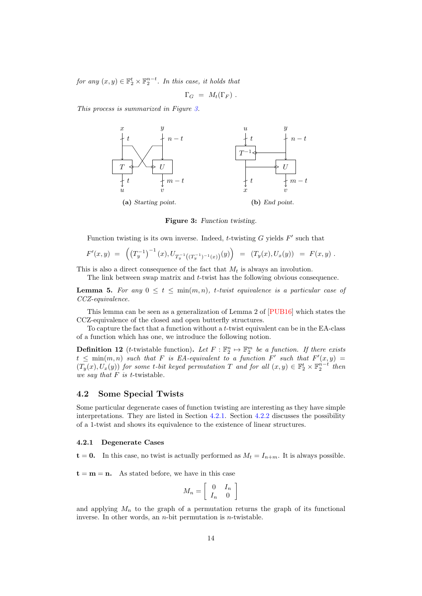for any  $(x, y) \in \mathbb{F}_2^t \times \mathbb{F}_2^{n-t}$ . In this case, it holds that

$$
\Gamma_G = M_t(\Gamma_F) .
$$

<span id="page-13-0"></span>This process is summarized in Figure [3.](#page-13-0)



Figure 3: Function twisting.

Function twisting is its own inverse. Indeed,  $t$ -twisting  $G$  yields  $F'$  such that

$$
F'(x,y) = \left( \left( T_y^{-1} \right)^{-1} (x), U_{T_y^{-1} \left( \left( T_y^{-1} \right)^{-1} (x) \right)} (y) \right) = \left( T_y(x), U_x(y) \right) = F(x,y) .
$$

This is also a direct consequence of the fact that  $M_t$  is always an involution.

The link between swap matrix and  $t$ -twist has the following obvious consequence.

**Lemma 5.** For any  $0 \le t \le \min(m, n)$ , t-twist equivalence is a particular case of CCZ-equivalence.

This lemma can be seen as a generalization of Lemma 2 of [\[PUB16\]](#page-29-3) which states the CCZ-equivalence of the closed and open butterfly structures.

To capture the fact that a function without a  $t$ -twist equivalent can be in the EA-class of a function which has one, we introduce the following notion.

**Definition 12** (*t*-twistable function). Let  $F : \mathbb{F}_2^n \to \mathbb{F}_2^m$  be a function. If there exists  $t \leq \min(m, n)$  such that F is EA-equivalent to a function F' such that  $F'(x, y) =$  $(T_y(x), U_x(y))$  for some t-bit keyed permutation T and for all  $(x, y) \in \mathbb{F}_2^t \times \mathbb{F}_2^{n-t}$  then we say that  $F$  is t-twistable.

### 4.2 Some Special Twists

Some particular degenerate cases of function twisting are interesting as they have simple interpretations. They are listed in Section [4.2.1.](#page-13-1) Section [4.2.2](#page-14-0) discusses the possibility of a 1-twist and shows its equivalence to the existence of linear structures.

#### <span id="page-13-1"></span>4.2.1 Degenerate Cases

 $t = 0$ . In this case, no twist is actually performed as  $M_t = I_{n+m}$ . It is always possible.

 $t = m = n$ . As stated before, we have in this case

$$
M_n = \left[ \begin{array}{cc} 0 & I_n \\ I_n & 0 \end{array} \right]
$$

and applying  $M_n$  to the graph of a permutation returns the graph of its functional inverse. In other words, an  $n$ -bit permutation is  $n$ -twistable.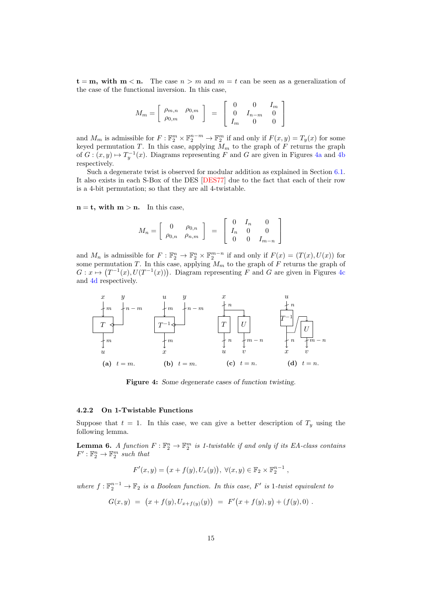$t = m$ , with  $m < n$ . The case  $n > m$  and  $m = t$  can be seen as a generalization of the case of the functional inversion. In this case,

$$
M_m = \left[ \begin{array}{cc} \rho_{m,n} & \rho_{0,m} \\ \rho_{0,m} & 0 \end{array} \right] = \left[ \begin{array}{ccc} 0 & 0 & I_m \\ 0 & I_{n-m} & 0 \\ I_m & 0 & 0 \end{array} \right]
$$

and  $M_m$  is admissible for  $F : \mathbb{F}_2^m \times \mathbb{F}_2^{n-m} \to \mathbb{F}_2^m$  if and only if  $F(x, y) = T_y(x)$  for some keyed permutation T. In this case, applying  $M_m$  to the graph of F returns the graph of  $G: (x, y) \mapsto T_y^{-1}(x)$ . Diagrams representing F and G are given in Figures [4a](#page-14-1) and [4b](#page-14-1) respectively.

Such a degenerate twist is observed for modular addition as explained in Section [6.1.](#page-22-0) It also exists in each S-Box of the DES [\[DES77\]](#page-29-12) due to the fact that each of their row is a 4-bit permutation; so that they are all 4-twistable.

 $n = t$ , with  $m > n$ . In this case,

$$
M_n = \left[ \begin{array}{cc} 0 & \rho_{0,n} \\ \rho_{0,n} & \rho_{n,m} \end{array} \right] \ = \ \left[ \begin{array}{ccc} 0 & I_n & 0 \\ I_n & 0 & 0 \\ 0 & 0 & I_{m-n} \end{array} \right]
$$

and  $M_n$  is admissible for  $F: \mathbb{F}_2^n \to \mathbb{F}_2^n \times \mathbb{F}_2^{m-n}$  if and only if  $F(x) = (T(x), U(x))$  for some permutation T. In this case, applying  $M_m$  to the graph of F returns the graph of  $G: x \mapsto (T^{-1}(x), U(T^{-1}(x)))$ . Diagram representing F and G are given in Figures [4c](#page-14-1) and [4d](#page-14-1) respectively.

<span id="page-14-1"></span>

Figure 4: Some degenerate cases of function twisting.

### <span id="page-14-0"></span>4.2.2 On 1-Twistable Functions

Suppose that  $t = 1$ . In this case, we can give a better description of  $T_y$  using the following lemma.

<span id="page-14-2"></span>**Lemma 6.** A function  $F : \mathbb{F}_2^n \to \mathbb{F}_2^m$  is 1-twistable if and only if its EA-class contains  $F': \mathbb{F}_2^n \to \mathbb{F}_2^m$  such that

$$
F'(x, y) = (x + f(y), U_x(y)), \forall (x, y) \in \mathbb{F}_2 \times \mathbb{F}_2^{n-1},
$$

where  $f: \mathbb{F}_2^{n-1} \to \mathbb{F}_2$  is a Boolean function. In this case, F' is 1-twist equivalent to

$$
G(x,y) = (x + f(y), U_{x+f(y)}(y)) = F'(x + f(y), y) + (f(y), 0).
$$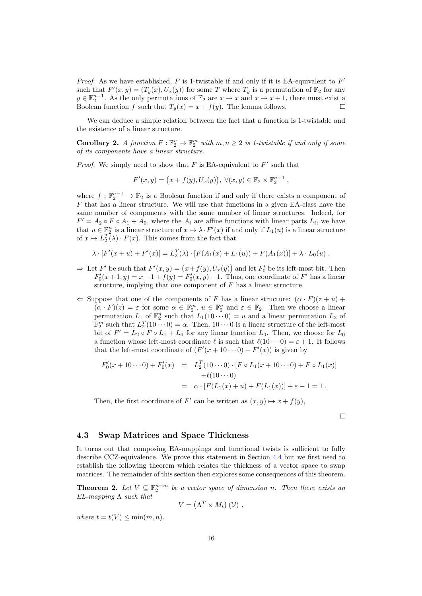*Proof.* As we have established,  $F$  is 1-twistable if and only if it is EA-equivalent to  $F'$ such that  $F'(x,y) = (T_y(x), U_x(y))$  for some T where  $T_y$  is a permutation of  $\mathbb{F}_2$  for any  $y \in \mathbb{F}_2^{n-1}$ . As the only permutations of  $\mathbb{F}_2$  are  $x \mapsto x$  and  $x \mapsto x+1$ , there must exist a Boolean function f such that  $T_u(x) = x + f(y)$ . The lemma follows.

We can deduce a simple relation between the fact that a function is 1-twistable and the existence of a linear structure.

<span id="page-15-1"></span>**Corollary 2.** A function  $F: \mathbb{F}_2^n \to \mathbb{F}_2^m$  with  $m, n \geq 2$  is 1-twistable if and only if some of its components have a linear structure.

*Proof.* We simply need to show that  $F$  is EA-equivalent to  $F'$  such that

$$
F'(x, y) = (x + f(y), U_x(y)), \forall (x, y) \in \mathbb{F}_2 \times \mathbb{F}_2^{n-1},
$$

where  $f : \mathbb{F}_2^{n-1} \to \mathbb{F}_2$  is a Boolean function if and only if there exists a component of  $F$  that has a linear structure. We will use that functions in a given EA-class have the same number of components with the same number of linear structures. Indeed, for  $F' = A_2 \circ F \circ A_1 + A_0$ , where the  $A_i$  are affine functions with linear parts  $L_i$ , we have that  $u \in \mathbb{F}_2^n$  is a linear structure of  $x \mapsto \lambda \cdot F'(x)$  if and only if  $L_1(u)$  is a linear structure of  $x \mapsto L_2^T(\lambda) \cdot F(x)$ . This comes from the fact that

$$
\lambda \cdot [F'(x+u) + F'(x)] = L_2^T(\lambda) \cdot [F(A_1(x) + L_1(u)) + F(A_1(x))] + \lambda \cdot L_0(u) .
$$

 $\Rightarrow$  Let F' be such that  $F'(x, y) = (x + f(y), U_x(y))$  and let  $F'_0$  be its left-most bit. Then  $F'_0(x+1,y) = x+1+f(y) = F'_0(x,y)+1$ . Thus, one coordinate of F' has a linear structure, implying that one component of  $F$  has a linear structure.

 $\Leftarrow$  Suppose that one of the components of F has a linear structure:  $(\alpha \cdot F)(z + u) +$  $(\alpha \cdot F)(z) = \varepsilon$  for some  $\alpha \in \mathbb{F}_2^m$ ,  $u \in \mathbb{F}_2^n$  and  $\varepsilon \in \mathbb{F}_2$ . Then we choose a linear permutation  $L_1$  of  $\mathbb{F}_2^n$  such that  $L_1(10 \cdots 0) = u$  and a linear permutation  $L_2$  of  $\mathbb{F}_2^m$  such that  $L_2^T(10 \cdots 0) = \alpha$ . Then,  $10 \cdots 0$  is a linear structure of the left-most bit of  $F' = L_2 \circ F \circ L_1 + L_0$  for any linear function  $L_0$ . Then, we choose for  $L_0$ a function whose left-most coordinate  $\ell$  is such that  $\ell(10\cdots0) = \varepsilon + 1$ . It follows that the left-most coordinate of  $(F'(x+10\cdots 0)+F'(x))$  is given by

$$
F'_0(x+10\cdots 0) + F'_0(x) = L_2^T(10\cdots 0) \cdot [F \circ L_1(x+10\cdots 0) + F \circ L_1(x)]
$$
  
+  $\ell(10\cdots 0)$   
=  $\alpha \cdot [F(L_1(x)+u) + F(L_1(x))] + \varepsilon + 1 = 1.$ 

Then, the first coordinate of F' can be written as  $(x, y) \mapsto x + f(y)$ ,

$$
\mathcal{I}^{\mathcal{I}}
$$

#### 4.3 Swap Matrices and Space Thickness

It turns out that composing EA-mappings and functional twists is sufficient to fully describe CCZ-equivalence. We prove this statement in Section [4.4](#page-17-0) but we first need to establish the following theorem which relates the thickness of a vector space to swap matrices. The remainder of this section then explores some consequences of this theorem.

<span id="page-15-0"></span>**Theorem 2.** Let  $V \subseteq \mathbb{F}_2^{n+m}$  be a vector space of dimension n. Then there exists an  $EL$ -mapping  $\Lambda$  such that

$$
V = \left(\Lambda^T \times M_t\right)(\mathcal{V}) ,
$$

where  $t = t(V) \leq \min(m, n)$ .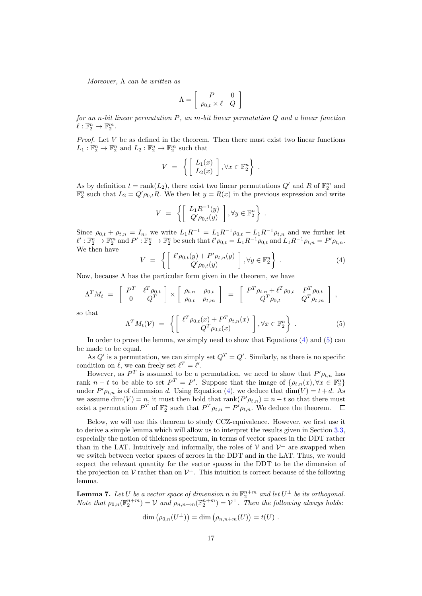Moreover,  $\Lambda$  can be written as

$$
\Lambda = \left[ \begin{array}{cc} P & 0 \\ \rho_{0,t} \times \ell & Q \end{array} \right]
$$

for an n-bit linear permutation  $P$ , an m-bit linear permutation  $Q$  and a linear function  $\ell : \mathbb{F}_2^n \to \mathbb{F}_2^m$ .

*Proof.* Let  $V$  be as defined in the theorem. Then there must exist two linear functions  $L_1 : \mathbb{F}_2^n \to \mathbb{F}_2^n$  and  $L_2 : \mathbb{F}_2^n \to \mathbb{F}_2^m$  such that

$$
V = \left\{ \begin{bmatrix} L_1(x) \\ L_2(x) \end{bmatrix}, \forall x \in \mathbb{F}_2^n \right\}.
$$

As by definition  $t = \text{rank}(L_2)$ , there exist two linear permutations  $Q'$  and R of  $\mathbb{F}_2^m$  and  $\mathbb{F}_2^n$  such that  $L_2 = Q' \rho_{0,t} R$ . We then let  $y = R(x)$  in the previous expression and write

$$
V = \left\{ \begin{bmatrix} L_1 R^{-1}(y) \\ Q' \rho_{0,t}(y) \end{bmatrix}, \forall y \in \mathbb{F}_2^n \right\}.
$$

Since  $\rho_{0,t} + \rho_{t,n} = I_n$ , we write  $L_1 R^{-1} = L_1 R^{-1} \rho_{0,t} + L_1 R^{-1} \rho_{t,n}$  and we further let  $\ell': \mathbb{F}_2^n \to \mathbb{F}_2^m$  and  $P': \mathbb{F}_2^n \to \mathbb{F}_2^n$  be such that  $\ell' \rho_{0,t} = L_1 R^{-1} \rho_{0,t}$  and  $L_1 R^{-1} \rho_{t,n} = P' \rho_{t,n}$ . We then have

<span id="page-16-0"></span>
$$
V = \left\{ \begin{bmatrix} \ell' \rho_{0,t}(y) + P' \rho_{t,n}(y) \\ Q' \rho_{0,t}(y) \end{bmatrix}, \forall y \in \mathbb{F}_2^n \right\} . \tag{4}
$$

Now, because  $\Lambda$  has the particular form given in the theorem, we have

$$
\Lambda^T M_t = \begin{bmatrix} P^T & \ell^T \rho_{0,t} \\ 0 & Q^T \end{bmatrix} \times \begin{bmatrix} \rho_{t,n} & \rho_{0,t} \\ \rho_{0,t} & \rho_{t,m} \end{bmatrix} = \begin{bmatrix} P^T \rho_{t,n} + \ell^T \rho_{0,t} & P^T \rho_{0,t} \\ Q^T \rho_{0,t} & Q^T \rho_{t,m} \end{bmatrix},
$$

so that

<span id="page-16-1"></span>
$$
\Lambda^T M_t(\mathcal{V}) = \left\{ \begin{bmatrix} \ell^T \rho_{0,t}(x) + P^T \rho_{t,n}(x) \\ Q^T \rho_{0,t}(x) \end{bmatrix}, \forall x \in \mathbb{F}_2^n \right\} . \tag{5}
$$

In order to prove the lemma, we simply need to show that Equations  $(4)$  and  $(5)$  can be made to be equal.

As  $Q'$  is a permutation, we can simply set  $Q^T = Q'$ . Similarly, as there is no specific condition on  $\ell$ , we can freely set  $\ell^T = \ell'$ .

However, as  $P^T$  is assumed to be a permutation, we need to show that  $P' \rho_{t,n}$  has rank  $n-t$  to be able to set  $P^T = P'$ . Suppose that the image of  $\{\rho_{t,n}(x), \forall x \in \mathbb{F}_2^n\}$ under  $P' \rho_{t,n}$  is of dimension d. Using Equation [\(4\)](#page-16-0), we deduce that  $\dim(V) = t + d$ . As we assume  $\dim(V) = n$ , it must then hold that  $\text{rank}(P' \rho_{t,n}) = n - t$  so that there must exist a permutation  $P^T$  of  $\mathbb{F}_2^n$  such that  $P^T \rho_{t,n} = P' \rho_{t,n}$ . We deduce the theorem.  $\Box$ 

Below, we will use this theorem to study CCZ-equivalence. However, we first use it to derive a simple lemma which will allow us to interpret the results given in Section [3.3,](#page-10-1) especially the notion of thickness spectrum, in terms of vector spaces in the DDT rather than in the LAT. Intuitively and informally, the roles of  $V$  and  $V^{\perp}$  are swapped when we switch between vector spaces of zeroes in the DDT and in the LAT. Thus, we would expect the relevant quantity for the vector spaces in the DDT to be the dimension of the projection on  $V$  rather than on  $V^{\perp}$ . This intuition is correct because of the following lemma.

**Lemma 7.** Let  $U$  be a vector space of dimension n in  $\mathbb{F}_2^{n+m}$  and let  $U^{\perp}$  be its orthogonal. Note that  $\rho_{0,n}(\mathbb{F}_2^{n+m}) = \mathcal{V}$  and  $\rho_{n,n+m}(\mathbb{F}_2^{n+m}) = \mathcal{V}^{\perp}$ . Then the following always holds:

$$
\dim (\rho_{0,n}(U^{\perp})) = \dim (\rho_{n,n+m}(U)) = t(U) .
$$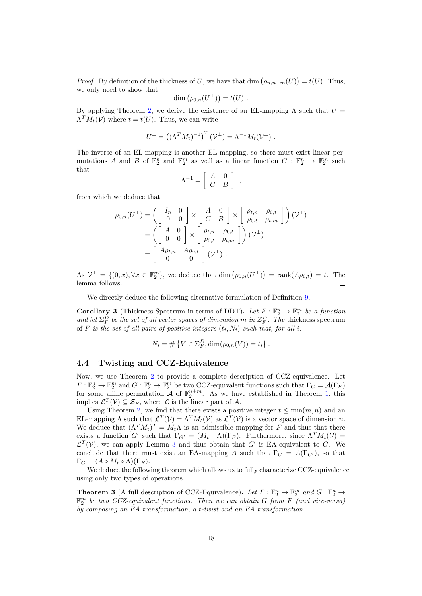*Proof.* By definition of the thickness of U, we have that dim  $(\rho_{n,n+m}(U)) = t(U)$ . Thus, we only need to show that

$$
\dim \left( \rho_{0,n}(U^{\perp}) \right) = t(U) .
$$

By applying Theorem [2,](#page-15-0) we derive the existence of an EL-mapping  $\Lambda$  such that  $U =$  $\Lambda^T M_t(\mathcal{V})$  where  $t = t(U)$ . Thus, we can write

$$
U^{\perp} = ((\Lambda^T M_t)^{-1})^T (\mathcal{V}^{\perp}) = \Lambda^{-1} M_t (\mathcal{V}^{\perp}) .
$$

The inverse of an EL-mapping is another EL-mapping, so there must exist linear permutations A and B of  $\mathbb{F}_2^n$  and  $\mathbb{F}_2^m$  as well as a linear function  $C: \mathbb{F}_2^n \to \mathbb{F}_2^m$  such that

$$
\Lambda^{-1} = \left[ \begin{array}{cc} A & 0 \\ C & B \end{array} \right] ,
$$

from which we deduce that

$$
\rho_{0,n}(U^{\perp}) = \left( \begin{bmatrix} I_n & 0 \\ 0 & 0 \end{bmatrix} \times \begin{bmatrix} A & 0 \\ C & B \end{bmatrix} \times \begin{bmatrix} \rho_{t,n} & \rho_{0,t} \\ \rho_{0,t} & \rho_{t,m} \end{bmatrix} \right) (\mathcal{V}^{\perp})
$$

$$
= \left( \begin{bmatrix} A & 0 \\ 0 & 0 \end{bmatrix} \times \begin{bmatrix} \rho_{t,n} & \rho_{0,t} \\ \rho_{0,t} & \rho_{t,m} \end{bmatrix} \right) (\mathcal{V}^{\perp})
$$

$$
= \begin{bmatrix} A\rho_{t,n} & A\rho_{0,t} \\ 0 & 0 \end{bmatrix} (\mathcal{V}^{\perp}).
$$

As  $\mathcal{V}^{\perp} = \{(0, x), \forall x \in \mathbb{F}_2^m\}$ , we deduce that  $\dim (\rho_{0,n}(U^{\perp})) = \text{rank}(A\rho_{0,t}) = t$ . The lemma follows.  $\Box$ 

We directly deduce the following alternative formulation of Definition [9.](#page-10-2)

**Corollary 3** (Thickness Spectrum in terms of DDT). Let  $F : \mathbb{F}_2^n \to \mathbb{F}_2^m$  be a function and let  $\Sigma^D_F$  be the set of all vector spaces of dimension m in  $\mathcal{Z}^D_F$ . The thickness spectrum of F is the set of all pairs of positive integers  $(t_i, N_i)$  such that, for all i.

$$
N_i = # \{ V \in \Sigma_F^D, \dim(\rho_{0,n}(V)) = t_i \}.
$$

#### <span id="page-17-0"></span>4.4 Twisting and CCZ-Equivalence

Now, we use Theorem [2](#page-15-0) to provide a complete description of CCZ-equivalence. Let  $F: \mathbb{F}_2^n \to \mathbb{F}_2^m$  and  $G: \mathbb{F}_2^n \to \mathbb{F}_2^m$  be two CCZ-equivalent functions such that  $\Gamma_G = \mathcal{A}(\Gamma_F)$ for some affine permutation  $\mathcal A$  of  $\mathbb F_2^{n+m}$ . As we have established in Theorem [1,](#page-8-0) this implies  $\mathcal{L}^T(\mathcal{V}) \subseteq \mathcal{Z}_F$ , where  $\mathcal L$  is the linear part of  $\mathcal A$ .

Using Theorem [2,](#page-15-0) we find that there exists a positive integer  $t \leq \min(m, n)$  and an EL-mapping  $\Lambda$  such that  $\mathcal{L}^T(\mathcal{V}) = \Lambda^T M_t(\mathcal{V})$  as  $\mathcal{L}^T(\mathcal{V})$  is a vector space of dimension n. We deduce that  $(\Lambda^T M_t)^T = M_t \Lambda$  is an admissible mapping for F and thus that there exists a function G' such that  $\Gamma_{G'} = (M_t \circ \Lambda)(\Gamma_F)$ . Furthermore, since  $\Lambda^T M_t(\mathcal{V}) =$  $\mathcal{L}^T(\mathcal{V})$ , we can apply Lemma [3](#page-9-0) and thus obtain that G' is EA-equivalent to G. We conclude that there must exist an EA-mapping A such that  $\Gamma_G = A(\Gamma_{G'})$ , so that  $\Gamma_G = (A \circ M_t \circ \Lambda)(\Gamma_F).$ 

We deduce the following theorem which allows us to fully characterize CCZ-equivalence using only two types of operations.

<span id="page-17-1"></span>**Theorem 3** (A full description of CCZ-Equivalence). Let  $F : \mathbb{F}_2^n \to \mathbb{F}_2^m$  and  $G : \mathbb{F}_2^n \to$  $\mathbb{F}_2^m$  be two CCZ-equivalent functions. Then we can obtain G from F (and vice-versa) by composing an EA transformation, a  $t$ -twist and an EA transformation.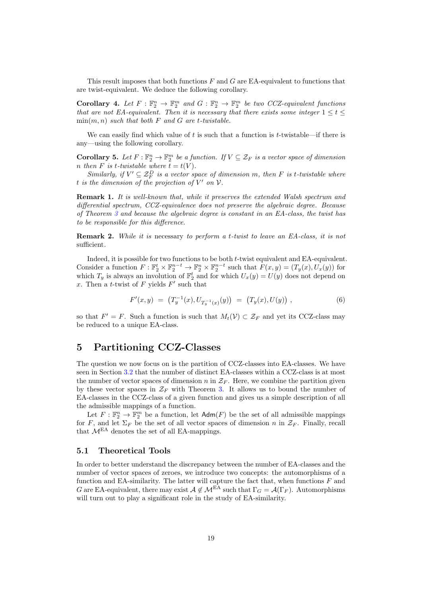This result imposes that both functions  $F$  and  $G$  are EA-equivalent to functions that are twist-equivalent. We deduce the following corollary.

Corollary 4. Let  $F : \mathbb{F}_2^n \to \mathbb{F}_2^m$  and  $G : \mathbb{F}_2^n \to \mathbb{F}_2^m$  be two CCZ-equivalent functions that are not EA-equivalent. Then it is necessary that there exists some integer  $1 \leq t \leq$  $\min(m, n)$  such that both F and G are t-twistable.

We can easily find which value of  $t$  is such that a function is  $t$ -twistable—if there is any—using the following corollary.

**Corollary 5.** Let  $F : \mathbb{F}_2^n \to \mathbb{F}_2^m$  be a function. If  $V \subseteq \mathcal{Z}_F$  is a vector space of dimension n then F is t-twistable where  $t = t(V)$ .

Similarly, if  $V' \subseteq \mathcal{Z}_F^D$  is a vector space of dimension m, then F is t-twistable where t is the dimension of the projection of  $V'$  on  $V$ .

Remark 1. It is well-known that, while it preserves the extended Walsh spectrum and differential spectrum, CCZ-equivalence does not preserve the algebraic degree. Because of Theorem [3](#page-17-1) and because the algebraic degree is constant in an EA-class, the twist has to be responsible for this difference.

<span id="page-18-1"></span>**Remark 2.** While it is necessary to perform a t-twist to leave an EA-class, it is not sufficient.

Indeed, it is possible for two functions to be both *t*-twist equivalent and EA-equivalent. Consider a function  $F: \mathbb{F}_2^t \times \mathbb{F}_2^{n-t} \to \mathbb{F}_2^n \times \mathbb{F}_2^{n-t}$  such that  $F(x, y) = (T_y(x), U_x(y))$  for which  $T_y$  is always an involution of  $\mathbb{F}_2^t$  and for which  $U_x(y) = U(y)$  does not depend on x. Then a t-twist of  $F$  yields  $F'$  such that

$$
F'(x,y) = (T_y^{-1}(x), U_{T_y^{-1}(x)}(y)) = (T_y(x), U(y)), \qquad (6)
$$

so that  $F' = F$ . Such a function is such that  $M_t(V) \subset \mathcal{Z}_F$  and yet its CCZ-class may be reduced to a unique EA-class.

# <span id="page-18-0"></span>5 Partitioning CCZ-Classes

The question we now focus on is the partition of CCZ-classes into EA-classes. We have seen in Section [3.2](#page-9-1) that the number of distinct EA-classes within a CCZ-class is at most the number of vector spaces of dimension n in  $\mathcal{Z}_F$ . Here, we combine the partition given by these vector spaces in  $\mathcal{Z}_F$  with Theorem [3.](#page-17-1) It allows us to bound the number of EA-classes in the CCZ-class of a given function and gives us a simple description of all the admissible mappings of a function.

Let  $F: \mathbb{F}_2^n \to \mathbb{F}_2^m$  be a function, let  $\mathsf{Adm}(F)$  be the set of all admissible mappings for F, and let  $\Sigma_F$  be the set of all vector spaces of dimension n in  $\mathcal{Z}_F$ . Finally, recall that  $M<sup>EA</sup>$  denotes the set of all EA-mappings.

#### 5.1 Theoretical Tools

In order to better understand the discrepancy between the number of EA-classes and the number of vector spaces of zeroes, we introduce two concepts: the automorphisms of a function and EA-similarity. The latter will capture the fact that, when functions  $F$  and G are EA-equivalent, there may exist  $A \notin \mathcal{M}^{EA}$  such that  $\Gamma_G = \mathcal{A}(\Gamma_F)$ . Automorphisms will turn out to play a significant role in the study of EA-similarity.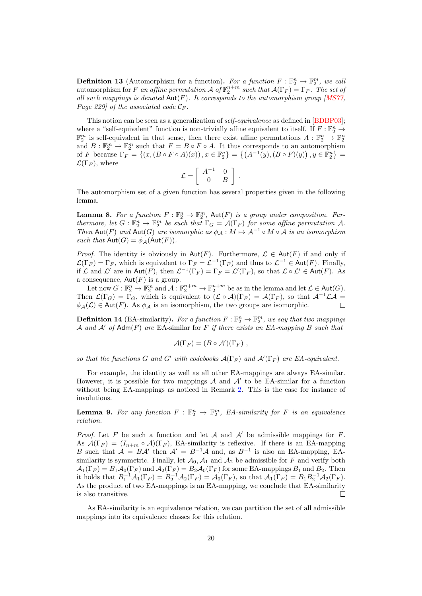**Definition 13** (Automorphism for a function). For a function  $F : \mathbb{F}_2^n \to \mathbb{F}_2^m$ , we call automorphism for F an affine permutation  $\mathcal A$  of  $\mathbb{F}_2^{n+m}$  such that  $\mathcal A(\Gamma_F) = \Gamma_F$ . The set of all such mappings is denoted  $Aut(F)$ . It corresponds to the automorphism group [\[MS77,](#page-29-10) Page 229] of the associated code  $\mathcal{C}_F$ .

This notion can be seen as a generalization of *self-equivalence* as defined in [\[BDBP03\]](#page-28-7); where a "self-equivalent" function is non-trivially affine equivalent to itself. If  $F : \mathbb{F}_2^n \to$  $\mathbb{F}_2^m$  is self-equivalent in that sense, then there exist affine permutations  $A: \mathbb{F}_2^n \to \mathbb{F}_2^n$ and  $B: \mathbb{F}_2^m \to \mathbb{F}_2^m$  such that  $F = B \circ F \circ A$ . It thus corresponds to an automorphism of F because  $\Gamma_F = \{(x, (B \circ F \circ A)(x)), x \in \mathbb{F}_2^n\} = \{(A^{-1}(y), (B \circ F)(y)), y \in \mathbb{F}_2^n\} =$  $\mathcal{L}(\Gamma_F)$ , where

$$
\mathcal{L} = \left[ \begin{array}{cc} A^{-1} & 0 \\ 0 & B \end{array} \right] .
$$

The automorphism set of a given function has several properties given in the following lemma.

**Lemma 8.** For a function  $F : \mathbb{F}_2^n \to \mathbb{F}_2^m$ ,  $\text{Aut}(F)$  is a group under composition. Furthermore, let  $G: \mathbb{F}_2^n \to \mathbb{F}_2^m$  be such that  $\Gamma_G = \mathcal{A}(\Gamma_F)$  for some affine permutation A. Then Aut(F) and Aut(G) are isomorphic as  $\phi_A : M \mapsto A^{-1} \circ M \circ A$  is an isomorphism such that  $Aut(G) = \phi_{\mathcal{A}}(Aut(F)).$ 

*Proof.* The identity is obviously in  $Aut(F)$ . Furthermore,  $\mathcal{L} \in Aut(F)$  if and only if  $\mathcal{L}(\Gamma_F) = \Gamma_F$ , which is equivalent to  $\Gamma_F = \mathcal{L}^{-1}(\Gamma_F)$  and thus to  $\mathcal{L}^{-1} \in \text{Aut}(F)$ . Finally, if  $\mathcal L$  and  $\mathcal L'$  are in Aut(F), then  $\mathcal L^{-1}(\Gamma_F) = \Gamma_F = \mathcal L'(\Gamma_F)$ , so that  $\mathcal L \circ \mathcal L' \in$  Aut(F). As a consequence,  $Aut(F)$  is a group.

Let now  $G: \mathbb{F}_2^n \to \mathbb{F}_2^m$  and  $\mathcal{A}: \mathbb{F}_2^{n+m} \to \mathbb{F}_2^{n+m}$  be as in the lemma and let  $\mathcal{L} \in$  Aut $(G)$ . Then  $\mathcal{L}(\Gamma_G) = \Gamma_G$ , which is equivalent to  $(\mathcal{L} \circ \mathcal{A})(\Gamma_F) = \mathcal{A}(\Gamma_F)$ , so that  $\mathcal{A}^{-1}\mathcal{L}\mathcal{A} =$  $\phi_{\mathcal{A}}(\mathcal{L}) \in$  Aut(F). As  $\phi_{\mathcal{A}}$  is an isomorphism, the two groups are isomorphic.  $\Box$ 

**Definition 14** (EA-similarity). For a function  $F : \mathbb{F}_2^n \to \mathbb{F}_2^m$ , we say that two mappings A and A' of  $Adm(F)$  are EA-similar for F if there exists an EA-mapping B such that

$$
\mathcal{A}(\Gamma_F) = (B \circ \mathcal{A}')(\Gamma_F) ,
$$

so that the functions G and G' with codebooks  $\mathcal{A}(\Gamma_F)$  and  $\mathcal{A}'(\Gamma_F)$  are EA-equivalent.

For example, the identity as well as all other EA-mappings are always EA-similar. However, it is possible for two mappings  $A$  and  $A'$  to be EA-similar for a function without being EA-mappings as noticed in Remark [2.](#page-18-1) This is the case for instance of involutions.

**Lemma 9.** For any function  $F : \mathbb{F}_2^n \to \mathbb{F}_2^m$ , EA-similarity for F is an equivalence relation.

*Proof.* Let F be such a function and let A and  $A'$  be admissible mappings for F. As  $\mathcal{A}(\Gamma_F) = (I_{n+m} \circ \mathcal{A})(\Gamma_F)$ , EA-similarity is reflexive. If there is an EA-mapping B such that  $A = BA'$  then  $A' = B^{-1}A$  and, as  $B^{-1}$  is also an EA-mapping, EAsimilarity is symmetric. Finally, let  $\mathcal{A}_0$ ,  $\mathcal{A}_1$  and  $\mathcal{A}_2$  be admissible for F and verify both  $\mathcal{A}_1(\Gamma_F) = B_1 \mathcal{A}_0(\Gamma_F)$  and  $\mathcal{A}_2(\Gamma_F) = B_2 \mathcal{A}_0(\Gamma_F)$  for some EA-mappings  $B_1$  and  $B_2$ . Then it holds that  $B_1^{-1}A_1(\Gamma_F) = B_2^{-1}A_2(\Gamma_F) = A_0(\Gamma_F)$ , so that  $A_1(\Gamma_F) = B_1B_2^{-1}A_2(\Gamma_F)$ . As the product of two EA-mappings is an EA-mapping, we conclude that EA-similarity is also transitive.  $\Box$ 

As EA-similarity is an equivalence relation, we can partition the set of all admissible mappings into its equivalence classes for this relation.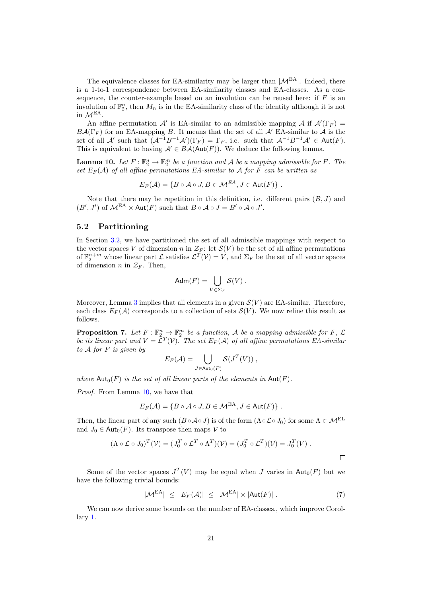The equivalence classes for EA-similarity may be larger than  $|\mathcal{M}^{EA}|$ . Indeed, there is a 1-to-1 correspondence between EA-similarity classes and EA-classes. As a consequence, the counter-example based on an involution can be reused here: if  $F$  is an involution of  $\mathbb{F}_2^n$ , then  $M_n$  is in the EA-similarity class of the identity although it is not in  $M<sup>EA</sup>$ .

An affine permutation  $\mathcal{A}'$  is EA-similar to an admissible mapping  $\mathcal{A}$  if  $\mathcal{A}'(\Gamma_F)$  $B\mathcal{A}(\Gamma_F)$  for an EA-mapping B. It means that the set of all  $\mathcal{A}'$  EA-similar to  $\mathcal{A}$  is the set of all  $\mathcal{A}'$  such that  $(\mathcal{A}^{-1}B^{-1}\mathcal{A}')(\Gamma_F) = \Gamma_F$ , i.e. such that  $\mathcal{A}^{-1}B^{-1}\mathcal{A}' \in \text{Aut}(F)$ . This is equivalent to having  $A' \in BA(\text{Aut}(F))$ . We deduce the following lemma.

<span id="page-20-0"></span>**Lemma 10.** Let  $F : \mathbb{F}_2^n \to \mathbb{F}_2^m$  be a function and A be a mapping admissible for F. The set  $E_F(\mathcal{A})$  of all affine permutations EA-similar to  $\mathcal A$  for  $F$  can be written as

 $E_F(\mathcal{A}) = \{ B \circ \mathcal{A} \circ J, B \in \mathcal{M}^{EA}, J \in \text{Aut}(F) \}$ .

Note that there may be repetition in this definition, i.e. different pairs  $(B, J)$  and  $(B', J')$  of  $\mathcal{M}^{EA} \times \text{Aut}(F)$  such that  $B \circ A \circ J = B' \circ A \circ J'$ .

### 5.2 Partitioning

In Section [3.2,](#page-9-1) we have partitioned the set of all admissible mappings with respect to the vector spaces V of dimension n in  $\mathcal{Z}_F$ : let  $\mathcal{S}(V)$  be the set of all affine permutations of  $\mathbb{F}_2^{n+m}$  whose linear part  $\mathcal{L}$  satisfies  $\mathcal{L}^T(\mathcal{V}) = \mathcal{V}$ , and  $\Sigma_F$  be the set of all vector spaces of dimension *n* in  $\mathcal{Z}_F$ . Then,

$$
\mathsf{Adm}(F) = \bigcup_{V \in \Sigma_F} \mathcal{S}(V) \ .
$$

Moreover, Lemma [3](#page-9-0) implies that all elements in a given  $S(V)$  are EA-similar. Therefore, each class  $E_F(\mathcal{A})$  corresponds to a collection of sets  $\mathcal{S}(V)$ . We now refine this result as follows.

<span id="page-20-2"></span>**Proposition 7.** Let  $F : \mathbb{F}_2^n \to \mathbb{F}_2^m$  be a function, A be a mapping admissible for F,  $\mathcal{L}$ be its linear part and  $V = \mathcal{L}^T(\mathcal{V})$ . The set  $E_F(\mathcal{A})$  of all affine permutations EA-similar to  $A$  for  $F$  is given by

$$
E_F(\mathcal{A}) = \bigcup_{J \in \text{Aut}_0(F)} \mathcal{S}(J^T(V)),
$$

where  $\text{Aut}_0(F)$  is the set of all linear parts of the elements in  $\text{Aut}(F)$ .

Proof. From Lemma [10,](#page-20-0) we have that

$$
E_F(\mathcal{A}) = \{B \circ \mathcal{A} \circ J, B \in \mathcal{M}^{\mathsf{EA}}, J \in \mathsf{Aut}(F)\}.
$$

Then, the linear part of any such  $(B \circ A \circ J)$  is of the form  $(\Lambda \circ \mathcal{L} \circ J_0)$  for some  $\Lambda \in \mathcal{M}^{EL}$ and  $J_0 \in \text{Aut}_0(F)$ . Its transpose then maps  $\mathcal V$  to

$$
(\Lambda \circ \mathcal{L} \circ J_0)^T(\mathcal{V}) = (J_0^T \circ \mathcal{L}^T \circ \Lambda^T)(\mathcal{V}) = (J_0^T \circ \mathcal{L}^T)(\mathcal{V}) = J_0^T(V).
$$

Some of the vector spaces  $J^T(V)$  may be equal when J varies in  $\text{Aut}_0(F)$  but we have the following trivial bounds:

<span id="page-20-1"></span>
$$
|\mathcal{M}^{\text{EA}}| \leq |E_F(\mathcal{A})| \leq |\mathcal{M}^{\text{EA}}| \times |\text{Aut}(F)| . \tag{7}
$$

 $\Box$ 

We can now derive some bounds on the number of EA-classes., which improve Corollary [1.](#page-9-2)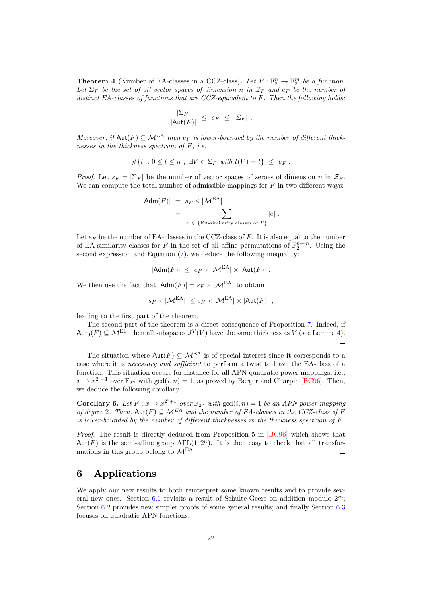**Theorem 4** (Number of EA-classes in a CCZ-class). Let  $F : \mathbb{F}_2^n \to \mathbb{F}_2^m$  be a function. Let  $\Sigma_F$  be the set of all vector spaces of dimension n in  $\mathcal{Z}_F$  and  $e_F$  be the number of distinct EA-classes of functions that are CCZ-equivalent to  $F$ . Then the following holds:

$$
\frac{|\Sigma_F|}{|\mathsf{Aut}(F)|} \ \leq \ e_F \ \leq \ |\Sigma_F| \ .
$$

Moreover, if  $\text{Aut}(F) \subseteq \mathcal{M}^{EA}$  then  $e_F$  is lower-bounded by the number of different thicknesses in the thickness spectrum of  $F$ , i.e.

$$
\#\{t\ : 0\leq t\leq n\ ,\ \exists V\in\Sigma_F\ with\ t(V)=t\}\ \leq\ e_F\ .
$$

*Proof.* Let  $s_F = |\Sigma_F|$  be the number of vector spaces of zeroes of dimension n in  $\mathcal{Z}_F$ . We can compute the total number of admissible mappings for  $F$  in two different ways:

$$
|\mathsf{Adm}(F)| = s_F \times |\mathcal{M}^{EA}|
$$
  
= 
$$
\sum_{e \in \{\text{EA-similarity classes of } F\}} |e|.
$$

Let  $e_F$  be the number of EA-classes in the CCZ-class of  $F$ . It is also equal to the number of EA-similarity classes for F in the set of all affine permutations of  $\mathbb{F}_2^{n+m}$ . Using the second expression and Equation [\(7\)](#page-20-1), we deduce the following inequality:

$$
|\mathsf{Adm}(F)| \leq e_F \times |\mathcal{M}^{\mathrm{EA}}| \times |\mathsf{Aut}(F)| \; .
$$

We then use the fact that  $|{\sf Adm}(F)| = s_F \times |{\cal M}^{\text{EA}}|$  to obtain

$$
s_F \times |\mathcal{M}^{\mathsf{EA}}| \leq e_F \times |\mathcal{M}^{\mathsf{EA}}| \times |\mathsf{Aut}(F)| \;,
$$

leading to the first part of the theorem.

The second part of the theorem is a direct consequence of Proposition [7.](#page-20-2) Indeed, if  $\text{Aut}_0(F) \subseteq \mathcal{M}^{\text{EL}}$ , then all subspaces  $J^T(V)$  have the same thickness as V (see Lemma [4\)](#page-10-0).  $\Box$ 

The situation where  $Aut(F) \subseteq \mathcal{M}^{EA}$  is of special interest since it corresponds to a case where it is necessary and sufficient to perform a twist to leave the EA-class of a function. This situation occurs for instance for all APN quadratic power mappings, i.e.,  $x \mapsto x^{2^i+1}$  over  $\mathbb{F}_{2^n}$  with  $gcd(i, n) = 1$ , as proved by Berger and Charpin [\[BC96\]](#page-27-1). Then, we deduce the following corollary.

<span id="page-21-1"></span>**Corollary 6.** Let  $F: x \mapsto x^{2^i+1}$  over  $\mathbb{F}_{2^n}$  with  $gcd(i, n) = 1$  be an APN power mapping of degree 2. Then,  $\text{Aut}(F) \subseteq \mathcal{M}^{EA}$  and the number of EA-classes in the CCZ-class of F is lower-bounded by the number of different thicknesses in the thickness spectrum of  $F$ .

Proof. The result is directly deduced from Proposition 5 in [\[BC96\]](#page-27-1) which shows that Aut(F) is the semi-affine group  $\text{ATL}(1, 2^n)$ . It is then easy to check that all transformations in this group belong to  $\mathcal{M}^{EA}$ .  $\Box$ 

# <span id="page-21-0"></span>6 Applications

We apply our new results to both reinterpret some known results and to provide several new ones. Section  $6.1$  revisits a result of Schulte-Geers on addition modulo  $2<sup>m</sup>$ ; Section [6.2](#page-24-0) provides new simpler proofs of some general results; and finally Section [6.3](#page-25-0) focuses on quadratic APN functions.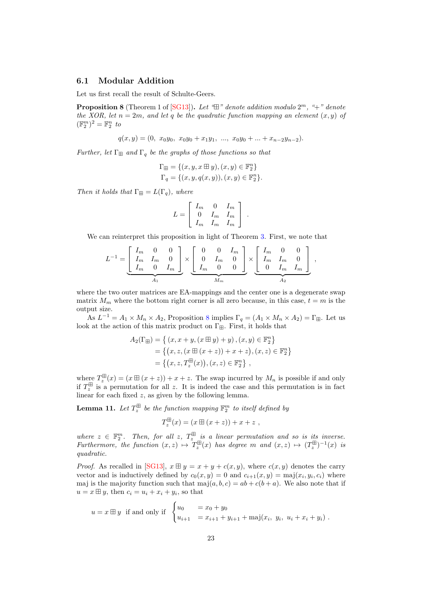### <span id="page-22-0"></span>6.1 Modular Addition

Let us first recall the result of Schulte-Geers.

<span id="page-22-1"></span>**Proposition 8** (Theorem 1 of  $[\text{SG13}]$ ). Let " $\boxplus$ " denote addition modulo  $2^m$ , "+" denote the XOR, let  $n = 2m$ , and let q be the quadratic function mapping an element  $(x, y)$  of  $(\mathbb{F}_2^m)^2 = \mathbb{F}_2^n$  to

$$
q(x,y) = (0, x_0y_0, x_0y_0 + x_1y_1, ..., x_0y_0 + ... + x_{n-2}y_{n-2}).
$$

Further, let  $\Gamma_{\boxplus}$  and  $\Gamma_q$  be the graphs of those functions so that

$$
\Gamma_{\boxplus} = \{ (x, y, x \boxplus y), (x, y) \in \mathbb{F}_2^n \}
$$
  

$$
\Gamma_q = \{ (x, y, q(x, y)), (x, y) \in \mathbb{F}_2^n \}.
$$

Then it holds that  $\Gamma_{\boxplus} = L(\Gamma_q)$ , where

$$
L = \left[ \begin{array}{ccc} I_m & 0 & I_m \\ 0 & I_m & I_m \\ I_m & I_m & I_m \end{array} \right] \ .
$$

We can reinterpret this proposition in light of Theorem [3.](#page-17-1) First, we note that

$$
L^{-1} = \underbrace{\begin{bmatrix} I_m & 0 & 0 \\ I_m & I_m & 0 \\ I_m & 0 & I_m \end{bmatrix}}_{A_1} \times \underbrace{\begin{bmatrix} 0 & 0 & I_m \\ 0 & I_m & 0 \\ I_m & 0 & 0 \end{bmatrix}}_{M_m} \times \underbrace{\begin{bmatrix} I_m & 0 & 0 \\ I_m & I_m & 0 \\ 0 & I_m & I_m \end{bmatrix}}_{A_2},
$$

where the two outer matrices are EA-mappings and the center one is a degenerate swap matrix  $M_m$  where the bottom right corner is all zero because, in this case,  $t = m$  is the output size.

As  $L^{-1} = A_1 \times M_n \times A_2$ , Proposition [8](#page-22-1) implies  $\Gamma_q = (A_1 \times M_n \times A_2) = \Gamma_{\boxplus}$ . Let us look at the action of this matrix product on  $\Gamma_{\boxplus}.$  First, it holds that

$$
A_2(\Gamma_{\boxplus}) = \{ (x, x + y, (x \boxplus y) + y), (x, y) \in \mathbb{F}_2^n \}
$$
  
= 
$$
\{ (x, z, (x \boxplus (x + z)) + x + z), (x, z) \in \mathbb{F}_2^n \}
$$
  
= 
$$
\{ (x, z, T_z^{\boxplus}(x)), (x, z) \in \mathbb{F}_2^n \},
$$

where  $T_z^{\boxplus}(x) = (x \boxplus (x + z)) + x + z$ . The swap incurred by  $M_n$  is possible if and only if  $T_z^{\boxplus}$  is a permutation for all z. It is indeed the case and this permutation is in fact linear for each fixed  $z$ , as given by the following lemma.

<span id="page-22-2"></span>**Lemma 11.** Let  $T_z^{\boxplus}$  be the function mapping  $\mathbb{F}_2^m$  to itself defined by

$$
T_z^{\boxplus}(x) = (x \boxplus (x + z)) + x + z,
$$

where  $z \in \mathbb{F}_2^m$ . Then, for all z,  $T_z^{\boxplus}$  is a linear permutation and so is its inverse. Furthermore, the function  $(x, z) \mapsto T_z^{\boxplus}(x)$  has degree m and  $(x, z) \mapsto (T_z^{\boxplus})^{-1}(x)$  is quadratic.

*Proof.* As recalled in [\[SG13\]](#page-29-13),  $x \boxplus y = x + y + c(x, y)$ , where  $c(x, y)$  denotes the carry vector and is inductively defined by  $c_0(x, y) = 0$  and  $c_{i+1}(x, y) = \text{maj}(x_i, y_i, c_i)$  where maj is the majority function such that  $maj(a, b, c) = ab + c(b + a)$ . We also note that if  $u = x \boxplus y$ , then  $c_i = u_i + x_i + y_i$ , so that

$$
u = x \boxplus y
$$
 if and only if 
$$
\begin{cases} u_0 = x_0 + y_0 \\ u_{i+1} = x_{i+1} + y_{i+1} + \text{maj}(x_i, y_i, u_i + x_i + y_i) \end{cases}
$$
.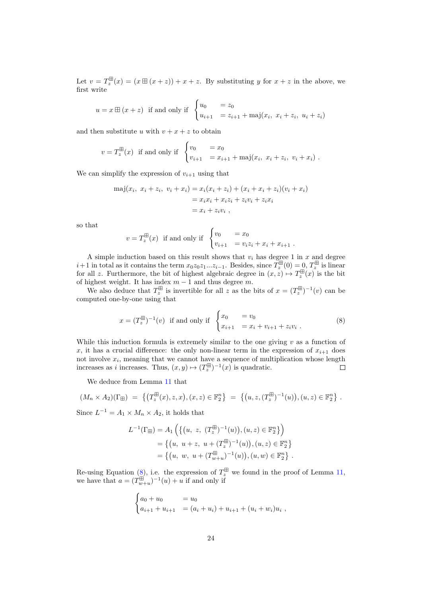Let  $v = T_z^{\boxplus}(x) = (x \boxplus (x + z)) + x + z$ . By substituting y for  $x + z$  in the above, we first write

$$
u = x \boxplus (x + z)
$$
 if and only if 
$$
\begin{cases} u_0 = z_0 \\ u_{i+1} = z_{i+1} + \text{maj}(x_i, x_i + z_i, u_i + z_i) \end{cases}
$$

and then substitute u with  $v + x + z$  to obtain

$$
v = T_z^{\boxplus}(x)
$$
 if and only if  $\begin{cases} v_0 &= x_0 \\ v_{i+1} &= x_{i+1} + \text{maj}(x_i, x_i + z_i, v_i + x_i) \end{cases}$ .

We can simplify the expression of  $v_{i+1}$  using that

$$
\begin{aligned} \text{maj}(x_i, \ x_i + z_i, \ v_i + x_i) &= x_i(x_i + z_i) + (x_i + x_i + z_i)(v_i + x_i) \\ &= x_i x_i + x_i z_i + z_i v_i + z_i x_i \\ &= x_i + z_i v_i \;, \end{aligned}
$$

so that

$$
v = T_z^{\boxplus}(x)
$$
 if and only if  $\begin{cases} v_0 &= x_0 \\ v_{i+1} &= v_i z_i + x_i + x_{i+1} \end{cases}$ .

A simple induction based on this result shows that  $v_i$  has degree 1 in  $x$  and degree  $i+1$  in total as it contains the term  $x_0z_0z_1...z_{i-1}$ . Besides, since  $T_z^{\boxplus}(0) = 0, T_z^{\boxplus}$  is linear for all z. Furthermore, the bit of highest algebraic degree in  $(x, z) \mapsto T_z^{\boxplus}(x)$  is the bit of highest weight. It has index  $m-1$  and thus degree m.

We also deduce that  $T_z^{\boxplus}$  is invertible for all z as the bits of  $x = (T_z^{\boxplus})^{-1}(v)$  can be computed one-by-one using that

<span id="page-23-0"></span>
$$
x = (T_z^{\boxplus})^{-1}(v) \text{ if and only if } \begin{cases} x_0 = v_0 \\ x_{i+1} = x_i + v_{i+1} + z_i v_i \end{cases} (8)
$$

While this induction formula is extremely similar to the one giving  $v$  as a function of x, it has a crucial difference: the only non-linear term in the expression of  $x_{i+1}$  does not involve  $x_i$ , meaning that we cannot have a sequence of multiplication whose length increases as *i* increases. Thus,  $(x, y) \mapsto (T_z^{\boxplus})^{-1}(x)$  is quadratic.

We deduce from Lemma [11](#page-22-2) that

$$
(M_n \times A_2)(\Gamma_{\boxplus}) = \left\{ \left( T_z^{\boxplus}(x), z, x \right), (x, z) \in \mathbb{F}_2^n \right\} = \left\{ \left( u, z, (T_z^{\boxplus})^{-1}(u) \right), (u, z) \in \mathbb{F}_2^n \right\}.
$$

Since  $L^{-1} = A_1 \times M_n \times A_2$ , it holds that

$$
L^{-1}(\Gamma_{\boxplus}) = A_1 \left( \left\{ \left( u, z, (T_z^{\boxplus})^{-1}(u) \right), (u, z) \in \mathbb{F}_2^n \right\} \right)
$$
  
=  $\left\{ \left( u, u + z, u + (T_z^{\boxplus})^{-1}(u) \right), (u, z) \in \mathbb{F}_2^n \right\}$   
=  $\left\{ \left( u, w, u + (T_{w+u}^{\boxplus})^{-1}(u) \right), (u, w) \in \mathbb{F}_2^n \right\}.$ 

Re-using Equation [\(8\)](#page-23-0), i.e. the expression of  $T_z^{\boxplus}$  we found in the proof of Lemma [11,](#page-22-2) we have that  $a = (T_{w+u}^{\boxplus})^{-1}(u) + u$  if and only if

$$
\begin{cases} a_0 + u_0 = u_0 \\ a_{i+1} + u_{i+1} = (a_i + u_i) + u_{i+1} + (u_i + w_i)u_i \end{cases}
$$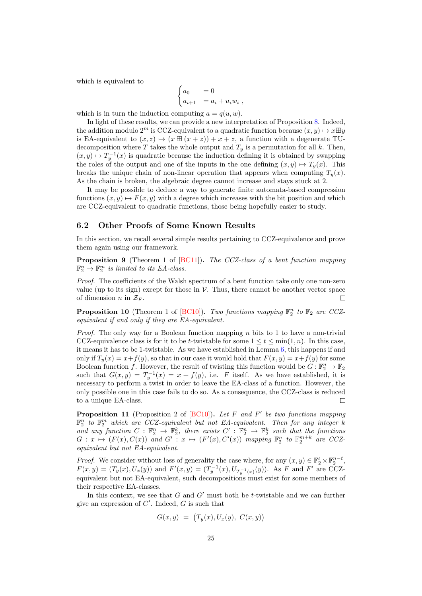which is equivalent to

$$
\begin{cases} a_0 = 0 \\ a_{i+1} = a_i + u_i w_i \end{cases}
$$

which is in turn the induction computing  $a = q(u, w)$ .

In light of these results, we can provide a new interpretation of Proposition [8.](#page-22-1) Indeed, the addition modulo  $2^m$  is CCZ-equivalent to a quadratic function because  $(x, y) \mapsto x \boxplus y$ is EA-equivalent to  $(x, z) \mapsto (x \boxplus (x + z)) + x + z$ , a function with a degenerate TUdecomposition where T takes the whole output and  $T_y$  is a permutation for all k. Then,  $(x, y) \mapsto T_y^{-1}(x)$  is quadratic because the induction defining it is obtained by swapping the roles of the output and one of the inputs in the one defining  $(x, y) \mapsto T_u(x)$ . This breaks the unique chain of non-linear operation that appears when computing  $T_u(x)$ . As the chain is broken, the algebraic degree cannot increase and stays stuck at 2.

It may be possible to deduce a way to generate finite automata-based compression functions  $(x, y) \mapsto F(x, y)$  with a degree which increases with the bit position and which are CCZ-equivalent to quadratic functions, those being hopefully easier to study.

#### <span id="page-24-0"></span>6.2 Other Proofs of Some Known Results

In this section, we recall several simple results pertaining to CCZ-equivalence and prove them again using our framework.

Proposition 9 (Theorem 1 of [\[BC11\]](#page-28-8)). The CCZ-class of a bent function mapping  $\mathbb{F}_2^n \to \mathbb{F}_2^m$  is limited to its EA-class.

Proof. The coefficients of the Walsh spectrum of a bent function take only one non-zero value (up to its sign) except for those in  $\mathcal V$ . Thus, there cannot be another vector space of dimension *n* in  $\mathcal{Z}_F$ .  $\Box$ 

**Proposition 10** (Theorem 1 of [\[BC10\]](#page-28-3)). Two functions mapping  $\mathbb{F}_2^n$  to  $\mathbb{F}_2$  are CCZequivalent if and only if they are EA-equivalent.

*Proof.* The only way for a Boolean function mapping  $n$  bits to 1 to have a non-trivial CCZ-equivalence class is for it to be t-twistable for some  $1 \le t \le \min(1, n)$ . In this case, it means it has to be 1-twistable. As we have established in Lemma [6,](#page-14-2) this happens if and only if  $T_y(x) = x+f(y)$ , so that in our case it would hold that  $F(x, y) = x+f(y)$  for some Boolean function f. However, the result of twisting this function would be  $G : \mathbb{F}_2^n \to \mathbb{F}_2$ such that  $G(x, y) = T_y^{-1}(x) = x + f(y)$ , i.e. F itself. As we have established, it is necessary to perform a twist in order to leave the EA-class of a function. However, the only possible one in this case fails to do so. As a consequence, the CCZ-class is reduced to a unique EA-class. П

**Proposition 11** (Proposition 2 of  $[BC10]$ ). Let F and F' be two functions mapping  $\mathbb{F}_2^n$  to  $\mathbb{F}_2^m$  which are CCZ-equivalent but not EA-equivalent. Then for any integer k and any function  $C : \mathbb{F}_2^n \to \mathbb{F}_2^k$ , there exists  $C' : \mathbb{F}_2^n \to \mathbb{F}_2^k$  such that the functions  $G: x \mapsto (F(x), C(x))$  and  $G' : x \mapsto (F'(x), C'(x))$  mapping  $\mathbb{F}_2^n$  to  $\mathbb{F}_2^{m+k}$  are CCZequivalent but not EA-equivalent.

*Proof.* We consider without loss of generality the case where, for any  $(x, y) \in \mathbb{F}_2^t \times \mathbb{F}_2^{n-t}$ ,  $F(x, y) = (T_y(x), U_x(y))$  and  $F'(x, y) = (T_y^{-1}(x), U_{T_y^{-1}(x)}(y))$ . As F and F' are CCZequivalent but not EA-equivalent, such decompositions must exist for some members of their respective EA-classes.

In this context, we see that  $G$  and  $G'$  must both be t-twistable and we can further give an expression of  $C'$ . Indeed,  $G$  is such that

$$
G(x,y) = (T_y(x), U_x(y), C(x,y))
$$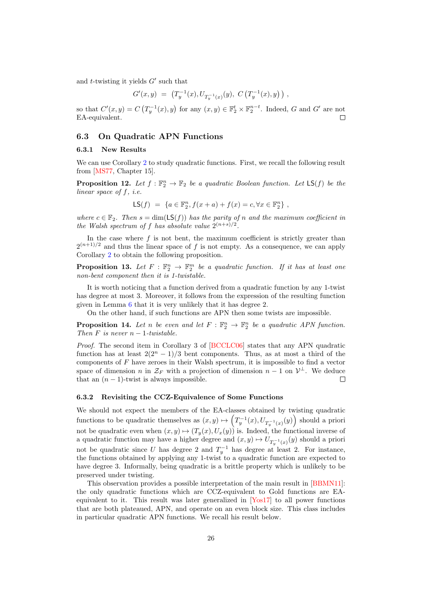and  $t$ -twisting it yields  $G'$  such that

$$
G'(x,y) = (T_y^{-1}(x), U_{T_y^{-1}(x)}(y), C(T_y^{-1}(x), y)),
$$

so that  $C'(x,y) = C(T_y^{-1}(x), y)$  for any  $(x, y) \in \mathbb{F}_2^t \times \mathbb{F}_2^{n-t}$ . Indeed, G and G' are not EA-equivalent. П

### <span id="page-25-0"></span>6.3 On Quadratic APN Functions

#### 6.3.1 New Results

We can use Corollary [2](#page-15-1) to study quadratic functions. First, we recall the following result from [\[MS77,](#page-29-10) Chapter 15].

**Proposition 12.** Let  $f : \mathbb{F}_2^n \to \mathbb{F}_2$  be a quadratic Boolean function. Let  $\mathsf{LS}(f)$  be the linear space of  $f$ , *i.e.* 

LS(f) = {
$$
a \in \mathbb{F}_2^n
$$
,  $f(x+a) + f(x) = c$ ,  $\forall x \in \mathbb{F}_2^n$ },

where  $c \in \mathbb{F}_2$ . Then  $s = \dim(\textsf{LS}(f))$  has the parity of n and the maximum coefficient in the Walsh spectrum of f has absolute value  $2^{(n+s)/2}$ .

In the case where  $f$  is not bent, the maximum coefficient is strictly greater than  $2^{(n+1)/2}$  and thus the linear space of f is not empty. As a consequence, we can apply Corollary [2](#page-15-1) to obtain the following proposition.

<span id="page-25-1"></span>**Proposition 13.** Let  $F : \mathbb{F}_2^n \to \mathbb{F}_2^m$  be a quadratic function. If it has at least one non-bent component then it is 1-twistable.

It is worth noticing that a function derived from a quadratic function by any 1-twist has degree at most 3. Moreover, it follows from the expression of the resulting function given in Lemma [6](#page-14-2) that it is very unlikely that it has degree 2.

On the other hand, if such functions are APN then some twists are impossible.

**Proposition 14.** Let *n* be even and let  $F : \mathbb{F}_2^n \to \mathbb{F}_2^n$  be a quadratic APN function. Then  $F$  is never  $n-1$ -twistable.

Proof. The second item in Corollary 3 of [\[BCCLC06\]](#page-28-9) states that any APN quadratic function has at least  $2(2^{n} - 1)/3$  bent components. Thus, as at most a third of the components of  $F$  have zeroes in their Walsh spectrum, it is impossible to find a vector space of dimension *n* in  $\mathcal{Z}_F$  with a projection of dimension  $n-1$  on  $\mathcal{V}^{\perp}$ . We deduce that an  $(n - 1)$ -twist is always impossible.  $\Box$ 

#### 6.3.2 Revisiting the CCZ-Equivalence of Some Functions

We should not expect the members of the EA-classes obtained by twisting quadratic functions to be quadratic themselves as  $(x, y) \mapsto (T_y^{-1}(x), U_{T_y^{-1}(x)}(y))$  should a priori not be quadratic even when  $(x, y) \mapsto (T_y(x), U_x(y))$  is. Indeed, the functional inverse of a quadratic function may have a higher degree and  $(x, y) \mapsto U_{T_y^{-1}(x)}(y)$  should a priori not be quadratic since U has degree 2 and  $T_y^{-1}$  has degree at least 2. For instance, the functions obtained by applying any 1-twist to a quadratic function are expected to have degree 3. Informally, being quadratic is a brittle property which is unlikely to be preserved under twisting.

This observation provides a possible interpretation of the main result in [\[BBMN11\]](#page-27-2): the only quadratic functions which are CCZ-equivalent to Gold functions are EAequivalent to it. This result was later generalized in [\[Yos17\]](#page-30-0) to all power functions that are both plateaued, APN, and operate on an even block size. This class includes in particular quadratic APN functions. We recall his result below.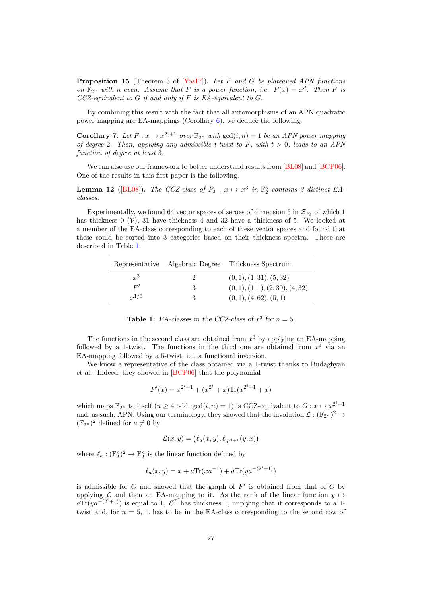**Proposition 15** (Theorem 3 of [\[Yos17\]](#page-30-0)). Let F and G be plateaued APN functions on  $\mathbb{F}_{2^n}$  with n even. Assume that F is a power function, i.e.  $F(x) = x^d$ . Then F is  $CCZ$ -equivalent to  $G$  if and only if  $F$  is EA-equivalent to  $G$ .

By combining this result with the fact that all automorphisms of an APN quadratic power mapping are EA-mappings (Corollary  $6$ ), we deduce the following.

<span id="page-26-1"></span>**Corollary 7.** Let  $F: x \mapsto x^{2^i+1}$  over  $\mathbb{F}_{2^n}$  with  $gcd(i, n) = 1$  be an APN power mapping of degree 2. Then, applying any admissible t-twist to F, with  $t > 0$ , leads to an APN function of degree at least 3.

We can also use our framework to better understand results from [\[BL08\]](#page-28-10) and [\[BCP06\]](#page-28-11). One of the results in this first paper is the following.

**Lemma 12** ([\[BL08\]](#page-28-10)). The CCZ-class of  $P_3: x \mapsto x^3$  in  $\mathbb{F}_2^5$  contains 3 distinct EAclasses.

Experimentally, we found 64 vector spaces of zeroes of dimension 5 in  $\mathcal{Z}_{P_3}$  of which 1 has thickness 0  $(V)$ , 31 have thickness 4 and 32 have a thickness of 5. We looked at a member of the EA-class corresponding to each of these vector spaces and found that these could be sorted into 3 categories based on their thickness spectra. These are described in Table [1.](#page-26-0)

<span id="page-26-0"></span>

|           | Representative Algebraic Degree | Thickness Spectrum               |
|-----------|---------------------------------|----------------------------------|
| $r^3$     |                                 | (0, 1), (1, 31), (5, 32)         |
| F'        | 3                               | (0, 1), (1, 1), (2, 30), (4, 32) |
| $x^{1/3}$ | 3                               | (0,1), (4,62), (5,1)             |

**Table 1:** EA-classes in the CCZ-class of  $x^3$  for  $n = 5$ .

The functions in the second class are obtained from  $x^3$  by applying an EA-mapping followed by a 1-twist. The functions in the third one are obtained from  $x^3$  via an EA-mapping followed by a 5-twist, i.e. a functional inversion.

We know a representative of the class obtained via a 1-twist thanks to Budaghyan et al.. Indeed, they showed in [\[BCP06\]](#page-28-11) that the polynomial

$$
F'(x) = x^{2^i + 1} + (x^{2^i} + x) \text{Tr}(x^{2^i + 1} + x)
$$

which maps  $\mathbb{F}_{2^n}$  to itself  $(n \geq 4 \text{ odd}, \gcd(i, n) = 1)$  is CCZ-equivalent to  $G: x \mapsto x^{2^i+1}$ and, as such, APN. Using our terminology, they showed that the involution  $\mathcal{L}: (\mathbb{F}_{2^n})^2 \to$  $(\mathbb{F}_{2^n})^2$  defined for  $a \neq 0$  by

$$
\mathcal{L}(x,y) = \big(\ell_a(x,y), \ell_{a^{2^i+1}}(y,x)\big)
$$

where  $\ell_a : (\mathbb{F}_2^n)^2 \to \mathbb{F}_2^n$  is the linear function defined by

$$
\ell_a(x, y) = x + a \text{Tr}(x a^{-1}) + a \text{Tr}(y a^{-(2^i + 1)})
$$

is admissible for  $G$  and showed that the graph of  $F'$  is obtained from that of  $G$  by applying  $\mathcal L$  and then an EA-mapping to it. As the rank of the linear function  $y \mapsto$  $a Tr(ya^{-(2^i+1)})$  is equal to 1,  $\mathcal{L}^T$  has thickness 1, implying that it corresponds to a 1twist and, for  $n = 5$ , it has to be in the EA-class corresponding to the second row of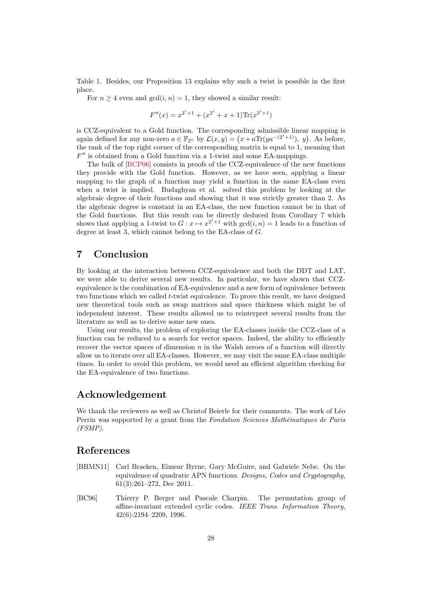Table [1.](#page-26-0) Besides, our Proposition [13](#page-25-1) explains why such a twist is possible in the first place.

For  $n \geq 4$  even and  $gcd(i, n) = 1$ , they showed a similar result:

$$
F''(x) = x^{2^i+1} + (x^{2^i} + x + 1) \text{Tr}(x^{2^i+1})
$$

is CCZ-equivalent to a Gold function. The corresponding admissible linear mapping is again defined for any non-zero  $a \in \mathbb{F}_{2^n}$  by  $\mathcal{L}(x, y) = (x + a \text{Tr}(ya^{-(2^i+1)}), y)$ . As before, the rank of the top right corner of the corresponding matrix is equal to 1, meaning that  $F''$  is obtained from a Gold function via a 1-twist and some EA-mappings.

The bulk of [\[BCP06\]](#page-28-11) consists in proofs of the CCZ-equivalence of the new functions they provide with the Gold function. However, as we have seen, applying a linear mapping to the graph of a function may yield a function in the same EA-class even when a twist is implied. Budaghyan et al. solved this problem by looking at the algebraic degree of their functions and showing that it was strictly greater than 2. As the algebraic degree is constant in an EA-class, the new function cannot be in that of the Gold functions. But this result can be directly deduced from Corollary [7](#page-26-1) which shows that applying a 1-twist to  $G: x \mapsto x^{2^i+1}$  with  $gcd(i, n) = 1$  leads to a function of degree at least 3, which cannot belong to the EA-class of  $G$ .

# <span id="page-27-0"></span>7 Conclusion

By looking at the interaction between CCZ-equivalence and both the DDT and LAT, we were able to derive several new results. In particular, we have shown that CCZequivalence is the combination of EA-equivalence and a new form of equivalence between two functions which we called  $t$ -twist equivalence. To prove this result, we have designed new theoretical tools such as swap matrices and space thickness which might be of independent interest. These results allowed us to reinterpret several results from the literature as well as to derive some new ones.

Using our results, the problem of exploring the EA-classes inside the CCZ-class of a function can be reduced to a search for vector spaces. Indeed, the ability to efficiently recover the vector spaces of dimension  $n$  in the Walsh zeroes of a function will directly allow us to iterate over all EA-classes. However, we may visit the same EA-class multiple times. In order to avoid this problem, we would need an efficient algorithm checking for the EA-equivalence of two functions.

# Acknowledgement

We thank the reviewers as well as Christof Beierle for their comments. The work of Léo Perrin was supported by a grant from the Fondation Sciences Mathématiques de Paris (FSMP).

# References

- <span id="page-27-2"></span>[BBMN11] Carl Bracken, Eimear Byrne, Gary McGuire, and Gabriele Nebe. On the equivalence of quadratic APN functions. Designs, Codes and Cryptography, 61(3):261–272, Dec 2011.
- <span id="page-27-1"></span>[BC96] Thierry P. Berger and Pascale Charpin. The permutation group of affine-invariant extended cyclic codes. IEEE Trans. Information Theory, 42(6):2194–2209, 1996.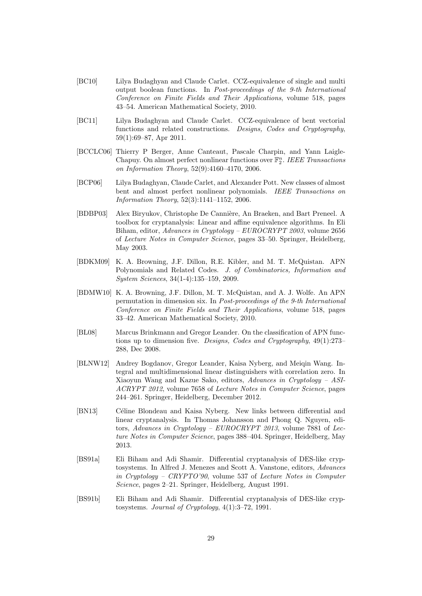- <span id="page-28-3"></span>[BC10] Lilya Budaghyan and Claude Carlet. CCZ-equivalence of single and multi output boolean functions. In Post-proceedings of the 9-th International Conference on Finite Fields and Their Applications, volume 518, pages 43–54. American Mathematical Society, 2010.
- <span id="page-28-8"></span>[BC11] Lilya Budaghyan and Claude Carlet. CCZ-equivalence of bent vectorial functions and related constructions. Designs, Codes and Cryptography, 59(1):69–87, Apr 2011.
- <span id="page-28-9"></span>[BCCLC06] Thierry P Berger, Anne Canteaut, Pascale Charpin, and Yann Laigle-Chapuy. On almost perfect nonlinear functions over  $\mathbb{F}_2^n$ . IEEE Transactions on Information Theory, 52(9):4160–4170, 2006.
- <span id="page-28-11"></span>[BCP06] Lilya Budaghyan, Claude Carlet, and Alexander Pott. New classes of almost bent and almost perfect nonlinear polynomials. IEEE Transactions on Information Theory, 52(3):1141–1152, 2006.
- <span id="page-28-7"></span>[BDBP03] Alex Biryukov, Christophe De Cannière, An Braeken, and Bart Preneel. A toolbox for cryptanalysis: Linear and affine equivalence algorithms. In Eli Biham, editor, Advances in Cryptology – EUROCRYPT 2003, volume 2656 of Lecture Notes in Computer Science, pages 33–50. Springer, Heidelberg, May 2003.
- <span id="page-28-5"></span>[BDKM09] K. A. Browning, J.F. Dillon, R.E. Kibler, and M. T. McQuistan. APN Polynomials and Related Codes. J. of Combinatorics, Information and System Sciences, 34(1-4):135–159, 2009.
- <span id="page-28-2"></span>[BDMW10] K. A. Browning, J.F. Dillon, M. T. McQuistan, and A. J. Wolfe. An APN permutation in dimension six. In Post-proceedings of the 9-th International Conference on Finite Fields and Their Applications, volume 518, pages 33–42. American Mathematical Society, 2010.
- <span id="page-28-10"></span>[BL08] Marcus Brinkmann and Gregor Leander. On the classification of APN functions up to dimension five. Designs, Codes and Cryptography, 49(1):273– 288, Dec 2008.
- <span id="page-28-6"></span>[BLNW12] Andrey Bogdanov, Gregor Leander, Kaisa Nyberg, and Meiqin Wang. Integral and multidimensional linear distinguishers with correlation zero. In Xiaoyun Wang and Kazue Sako, editors, Advances in Cryptology – ASI-ACRYPT 2012, volume 7658 of Lecture Notes in Computer Science, pages 244–261. Springer, Heidelberg, December 2012.
- <span id="page-28-4"></span>[BN13] Céline Blondeau and Kaisa Nyberg. New links between differential and linear cryptanalysis. In Thomas Johansson and Phong Q. Nguyen, editors, Advances in Cryptology – EUROCRYPT 2013, volume 7881 of Lecture Notes in Computer Science, pages 388–404. Springer, Heidelberg, May 2013.
- <span id="page-28-0"></span>[BS91a] Eli Biham and Adi Shamir. Differential cryptanalysis of DES-like cryptosystems. In Alfred J. Menezes and Scott A. Vanstone, editors, Advances in Cryptology – CRYPTO'90, volume 537 of Lecture Notes in Computer Science, pages 2–21. Springer, Heidelberg, August 1991.
- <span id="page-28-1"></span>[BS91b] Eli Biham and Adi Shamir. Differential cryptanalysis of DES-like cryptosystems. Journal of Cryptology, 4(1):3–72, 1991.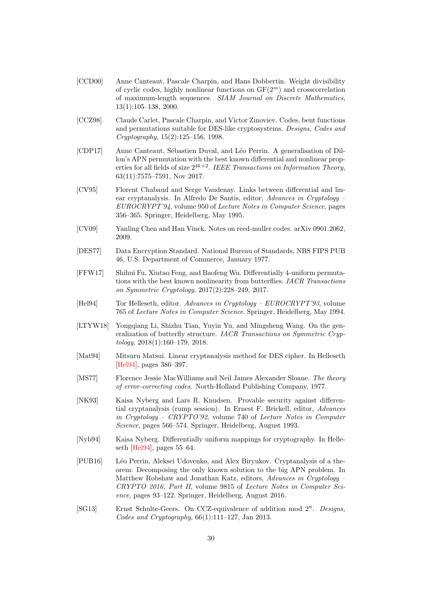- <span id="page-29-9"></span>[CCD00] Anne Canteaut, Pascale Charpin, and Hans Dobbertin. Weight divisibility of cyclic codes, highly nonlinear functions on  $GF(2<sup>m</sup>)$  and crosscorrelation of maximum-length sequences. SIAM Journal on Discrete Mathematics, 13(1):105–138, 2000.
- <span id="page-29-7"></span>[CCZ98] Claude Carlet, Pascale Charpin, and Victor Zinoviev. Codes, bent functions and permutations suitable for DES-like cryptosystems. Designs, Codes and Cryptography, 15(2):125–156, 1998.
- <span id="page-29-4"></span>[CDP17] Anne Canteaut, Sébastien Duval, and Léo Perrin. A generalisation of Dillon's APN permutation with the best known differential and nonlinear properties for all fields of size  $2^{4k+2}$ . IEEE Transactions on Information Theory, 63(11):7575–7591, Nov 2017.
- <span id="page-29-8"></span>[CV95] Florent Chabaud and Serge Vaudenay. Links between differential and linear cryptanalysis. In Alfredo De Santis, editor, Advances in Cryptology – EUROCRYPT'94, volume 950 of Lecture Notes in Computer Science, pages 356–365. Springer, Heidelberg, May 1995.
- <span id="page-29-11"></span>[CV09] Yanling Chen and Han Vinck. Notes on reed-muller codes. arXiv 0901.2062, 2009.
- <span id="page-29-12"></span>[DES77] Data Encryption Standard. National Bureau of Standards, NBS FIPS PUB 46, U.S. Department of Commerce, January 1977.
- <span id="page-29-5"></span>[FFW17] Shihui Fu, Xiutao Feng, and Baofeng Wu. Differentially 4-uniform permutations with the best known nonlinearity from butterflies. IACR Transactions on Symmetric Cryptology, 2017(2):228–249, 2017.
- <span id="page-29-14"></span>[Hel94] Tor Helleseth, editor. Advances in Cryptology – EUROCRYPT'93, volume 765 of Lecture Notes in Computer Science. Springer, Heidelberg, May 1994.
- <span id="page-29-6"></span>[LTYW18] Yongqiang Li, Shizhu Tian, Yuyin Yu, and Mingsheng Wang. On the generalization of butterfly structure. IACR Transactions on Symmetric Cryptology, 2018(1):160–179, 2018.
- <span id="page-29-0"></span>[Mat94] Mitsuru Matsui. Linear cryptanalysis method for DES cipher. In Helleseth [\[Hel94\]](#page-29-14), pages 386–397.
- <span id="page-29-10"></span>[MS77] Florence Jessie MacWilliams and Neil James Alexander Sloane. The theory of error-correcting codes. North-Holland Publishing Company, 1977.
- <span id="page-29-2"></span>[NK93] Kaisa Nyberg and Lars R. Knudsen. Provable security against differential cryptanalysis (rump session). In Ernest F. Brickell, editor, Advances in Cryptology – CRYPTO'92, volume 740 of Lecture Notes in Computer Science, pages 566–574. Springer, Heidelberg, August 1993.
- <span id="page-29-1"></span>[Nyb94] Kaisa Nyberg. Differentially uniform mappings for cryptography. In Helleseth [\[Hel94\]](#page-29-14), pages 55–64.
- <span id="page-29-3"></span>[PUB16] L´eo Perrin, Aleksei Udovenko, and Alex Biryukov. Cryptanalysis of a theorem: Decomposing the only known solution to the big APN problem. In Matthew Robshaw and Jonathan Katz, editors, Advances in Cryptology – CRYPTO 2016, Part II, volume 9815 of Lecture Notes in Computer Science, pages 93–122. Springer, Heidelberg, August 2016.
- <span id="page-29-13"></span>[SG13] Ernst Schulte-Geers. On CCZ-equivalence of addition mod  $2^n$ . Designs, Codes and Cryptography, 66(1):111–127, Jan 2013.